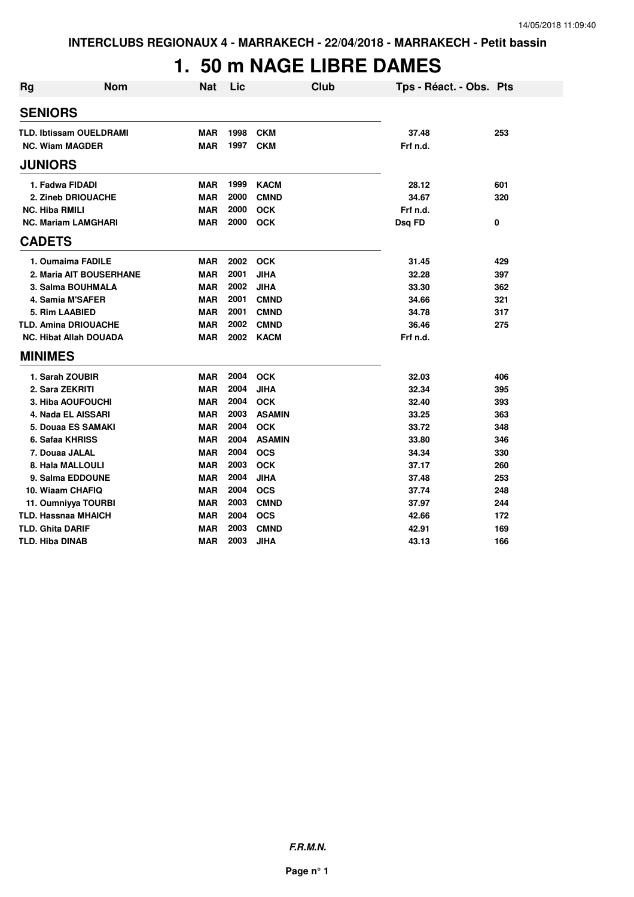# **1. 50 m NAGE LIBRE DAMES**

| <b>Rg</b>                      | <b>Nom</b> | <b>Nat</b> | Lic  | Club          | Tps - Réact. - Obs. Pts |     |
|--------------------------------|------------|------------|------|---------------|-------------------------|-----|
| <b>SENIORS</b>                 |            |            |      |               |                         |     |
| <b>TLD. Ibtissam OUELDRAMI</b> |            | <b>MAR</b> | 1998 | <b>CKM</b>    | 37.48                   | 253 |
| <b>NC. Wiam MAGDER</b>         |            | <b>MAR</b> | 1997 | <b>CKM</b>    | Frf n.d.                |     |
| <b>JUNIORS</b>                 |            |            |      |               |                         |     |
| 1. Fadwa FIDADI                |            | <b>MAR</b> | 1999 | <b>KACM</b>   | 28.12                   | 601 |
| 2. Zineb DRIOUACHE             |            | <b>MAR</b> | 2000 | <b>CMND</b>   | 34.67                   | 320 |
| <b>NC. Hiba RMILI</b>          |            | <b>MAR</b> | 2000 | <b>OCK</b>    | Frf n.d.                |     |
| <b>NC. Mariam LAMGHARI</b>     |            | <b>MAR</b> | 2000 | <b>OCK</b>    | Dsg FD                  | 0   |
| <b>CADETS</b>                  |            |            |      |               |                         |     |
| 1. Oumaima FADILE              |            | <b>MAR</b> | 2002 | <b>OCK</b>    | 31.45                   | 429 |
| 2. Maria AIT BOUSERHANE        |            | <b>MAR</b> | 2001 | <b>JIHA</b>   | 32.28                   | 397 |
| 3. Salma BOUHMALA              |            | <b>MAR</b> | 2002 | <b>JIHA</b>   | 33.30                   | 362 |
| 4. Samia M'SAFER               |            | <b>MAR</b> | 2001 | <b>CMND</b>   | 34.66                   | 321 |
| 5. Rim LAABIED                 |            | <b>MAR</b> | 2001 | <b>CMND</b>   | 34.78                   | 317 |
| <b>TLD. Amina DRIOUACHE</b>    |            | <b>MAR</b> | 2002 | <b>CMND</b>   | 36.46                   | 275 |
| <b>NC. Hibat Allah DOUADA</b>  |            | <b>MAR</b> | 2002 | <b>KACM</b>   | Frf n.d.                |     |
| <b>MINIMES</b>                 |            |            |      |               |                         |     |
| 1. Sarah ZOUBIR                |            | <b>MAR</b> | 2004 | <b>OCK</b>    | 32.03                   | 406 |
| 2. Sara ZEKRITI                |            | <b>MAR</b> | 2004 | <b>JIHA</b>   | 32.34                   | 395 |
| 3. Hiba AOUFOUCHI              |            | <b>MAR</b> | 2004 | <b>OCK</b>    | 32.40                   | 393 |
| 4. Nada EL AISSARI             |            | <b>MAR</b> | 2003 | <b>ASAMIN</b> | 33.25                   | 363 |
| 5. Douaa ES SAMAKI             |            | <b>MAR</b> | 2004 | <b>OCK</b>    | 33.72                   | 348 |
| 6. Safaa KHRISS                |            | <b>MAR</b> | 2004 | <b>ASAMIN</b> | 33.80                   | 346 |
| 7. Douaa JALAL                 |            | <b>MAR</b> | 2004 | <b>OCS</b>    | 34.34                   | 330 |
| 8. Hala MALLOULI               |            | <b>MAR</b> | 2003 | <b>OCK</b>    | 37.17                   | 260 |
| 9. Salma EDDOUNE               |            | <b>MAR</b> | 2004 | <b>JIHA</b>   | 37.48                   | 253 |
| 10. Wiaam CHAFIQ               |            | <b>MAR</b> | 2004 | <b>OCS</b>    | 37.74                   | 248 |
| 11. Oumniyya TOURBI            |            | <b>MAR</b> | 2003 | <b>CMND</b>   | 37.97                   | 244 |
| <b>TLD. Hassnaa MHAICH</b>     |            | <b>MAR</b> | 2004 | <b>OCS</b>    | 42.66                   | 172 |
| <b>TLD. Ghita DARIF</b>        |            | <b>MAR</b> | 2003 | <b>CMND</b>   | 42.91                   | 169 |
| <b>TLD. Hiba DINAB</b>         |            | <b>MAR</b> | 2003 | <b>JIHA</b>   | 43.13                   | 166 |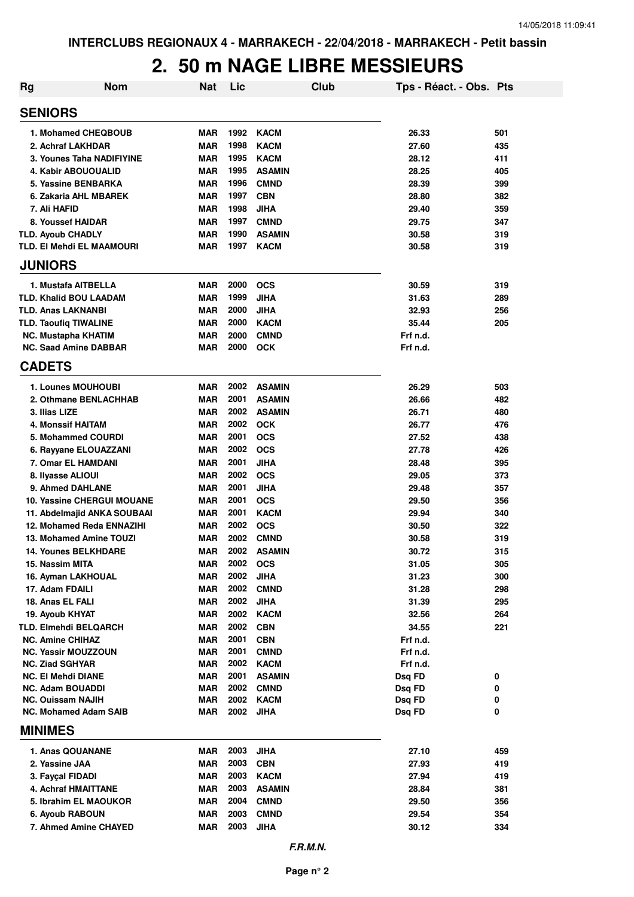#### **2. 50 m NAGE LIBRE MESSIEURS**

| <b>Rg</b>      | Nom                                                      | <b>Nat</b>        | Lic          |                            | Club | Tps - Réact. - Obs. Pts |        |
|----------------|----------------------------------------------------------|-------------------|--------------|----------------------------|------|-------------------------|--------|
| <b>SENIORS</b> |                                                          |                   |              |                            |      |                         |        |
|                | 1. Mohamed CHEQBOUB                                      | <b>MAR</b>        | 1992         | <b>KACM</b>                |      | 26.33                   | 501    |
|                | 2. Achraf LAKHDAR                                        | <b>MAR</b>        | 1998         | <b>KACM</b>                |      | 27.60                   | 435    |
|                | 3. Younes Taha NADIFIYINE                                | <b>MAR</b>        | 1995         | <b>KACM</b>                |      | 28.12                   | 411    |
|                | 4. Kabir ABOUOUALID                                      | <b>MAR</b>        | 1995         | <b>ASAMIN</b>              |      | 28.25                   | 405    |
|                | 5. Yassine BENBARKA                                      | <b>MAR</b>        | 1996         | <b>CMND</b>                |      | 28.39                   | 399    |
|                | 6. Zakaria AHL MBAREK                                    | <b>MAR</b>        | 1997         | <b>CBN</b>                 |      | 28.80                   | 382    |
|                | 7. Ali HAFID                                             | <b>MAR</b>        | 1998         | <b>JIHA</b>                |      | 29.40                   | 359    |
|                | 8. Youssef HAIDAR                                        | <b>MAR</b>        | 1997         | <b>CMND</b>                |      | 29.75                   | 347    |
|                | <b>TLD. Ayoub CHADLY</b>                                 | <b>MAR</b>        | 1990         | <b>ASAMIN</b>              |      | 30.58                   | 319    |
|                | TLD. EI Mehdi EL MAAMOURI                                | <b>MAR</b>        | 1997         | <b>KACM</b>                |      | 30.58                   | 319    |
| <b>JUNIORS</b> |                                                          |                   |              |                            |      |                         |        |
|                | 1. Mustafa AITBELLA                                      | <b>MAR</b>        | 2000         | <b>OCS</b>                 |      | 30.59                   | 319    |
|                | <b>TLD. Khalid BOU LAADAM</b>                            | <b>MAR</b>        | 1999         | <b>JIHA</b>                |      | 31.63                   | 289    |
|                | <b>TLD. Anas LAKNANBI</b>                                | <b>MAR</b>        | 2000         | <b>JIHA</b>                |      | 32.93                   | 256    |
|                | <b>TLD. Taoufiq TIWALINE</b>                             | <b>MAR</b>        | 2000         | <b>KACM</b>                |      | 35.44                   | 205    |
|                | <b>NC. Mustapha KHATIM</b>                               | <b>MAR</b>        | 2000         | <b>CMND</b>                |      | Frf n.d.                |        |
|                | <b>NC. Saad Amine DABBAR</b>                             | <b>MAR</b>        | 2000         | <b>OCK</b>                 |      | Frf n.d.                |        |
| <b>CADETS</b>  |                                                          |                   |              |                            |      |                         |        |
|                | 1. Lounes MOUHOUBI                                       | <b>MAR</b>        | 2002         | <b>ASAMIN</b>              |      | 26.29                   | 503    |
|                | 2. Othmane BENLACHHAB                                    | <b>MAR</b>        | 2001         | <b>ASAMIN</b>              |      | 26.66                   | 482    |
|                | 3. Ilias LIZE                                            | <b>MAR</b>        | 2002         | <b>ASAMIN</b>              |      | 26.71                   | 480    |
|                | <b>4. Monssif HAITAM</b>                                 | <b>MAR</b>        | 2002         | <b>OCK</b>                 |      | 26.77                   | 476    |
|                | 5. Mohammed COURDI                                       | <b>MAR</b>        | 2001         | <b>OCS</b>                 |      | 27.52                   | 438    |
|                | 6. Rayyane ELOUAZZANI                                    | <b>MAR</b>        | 2002         | <b>OCS</b>                 |      | 27.78                   | 426    |
|                | 7. Omar EL HAMDANI                                       | <b>MAR</b>        | 2001         | <b>JIHA</b>                |      | 28.48                   | 395    |
|                | 8. Ilyasse ALIOUI                                        | <b>MAR</b>        | 2002         | <b>OCS</b>                 |      | 29.05                   | 373    |
|                | 9. Ahmed DAHLANE                                         | <b>MAR</b>        | 2001         | <b>JIHA</b>                |      | 29.48                   | 357    |
|                | <b>10. Yassine CHERGUI MOUANE</b>                        | <b>MAR</b>        | 2001         | <b>OCS</b>                 |      | 29.50                   | 356    |
|                | 11. Abdelmajid ANKA SOUBAAI                              | <b>MAR</b>        | 2001         | <b>KACM</b>                |      | 29.94                   | 340    |
|                | 12. Mohamed Reda ENNAZIHI                                | <b>MAR</b>        | 2002         | <b>OCS</b>                 |      | 30.50                   | 322    |
|                | 13. Mohamed Amine TOUZI                                  | <b>MAR</b>        | 2002         | <b>CMND</b>                |      | 30.58                   | 319    |
|                | <b>14. Younes BELKHDARE</b>                              | <b>MAR</b>        | 2002         | <b>ASAMIN</b>              |      | 30.72                   | 315    |
|                | 15. Nassim MITA                                          | MAR               | 2002         | <b>OCS</b>                 |      | 31.05                   | 305    |
|                | 16. Ayman LAKHOUAL                                       | <b>MAR</b>        | 2002         | <b>JIHA</b>                |      | 31.23                   | 300    |
|                | 17. Adam FDAILI                                          | <b>MAR</b>        | 2002         | <b>CMND</b>                |      | 31.28                   | 298    |
|                | 18. Anas EL FALI                                         | <b>MAR</b>        | 2002         | <b>JIHA</b>                |      | 31.39                   | 295    |
|                | 19. Ayoub KHYAT                                          | <b>MAR</b>        |              | 2002 KACM                  |      | 32.56                   | 264    |
|                | <b>TLD. Elmehdi BELQARCH</b>                             | <b>MAR</b>        | 2002         | <b>CBN</b>                 |      | 34.55                   | 221    |
|                | <b>NC. Amine CHIHAZ</b>                                  | <b>MAR</b>        | 2001         | <b>CBN</b>                 |      | Frf n.d.                |        |
|                | <b>NC. Yassir MOUZZOUN</b>                               | <b>MAR</b>        | 2001         | <b>CMND</b>                |      | Frf n.d.                |        |
|                | <b>NC. Ziad SGHYAR</b>                                   | MAR               | 2002         | <b>KACM</b>                |      | Frf n.d.                |        |
|                | <b>NC. El Mehdi DIANE</b>                                | <b>MAR</b>        | 2001         | <b>ASAMIN</b>              |      | Dsq FD                  | 0      |
|                | <b>NC. Adam BOUADDI</b>                                  | <b>MAR</b>        | 2002         | <b>CMND</b>                |      | Dsg FD                  | 0      |
|                | <b>NC. Ouissam NAJIH</b><br><b>NC. Mohamed Adam SAIB</b> | <b>MAR</b><br>MAR | 2002<br>2002 | <b>KACM</b><br><b>JIHA</b> |      | Dsq FD<br>Dsq FD        | 0<br>0 |
| <b>MINIMES</b> |                                                          |                   |              |                            |      |                         |        |
|                | 1. Anas QOUANANE                                         | <b>MAR</b>        | 2003         | <b>JIHA</b>                |      | 27.10                   | 459    |
|                | 2. Yassine JAA                                           | <b>MAR</b>        | 2003         | <b>CBN</b>                 |      | 27.93                   | 419    |
|                | 3. Fayçal FIDADI                                         | <b>MAR</b>        | 2003         | <b>KACM</b>                |      | 27.94                   | 419    |
|                | 4. Achraf HMAITTANE                                      | <b>MAR</b>        | 2003         | <b>ASAMIN</b>              |      | 28.84                   | 381    |
|                |                                                          |                   | 2004         |                            |      |                         |        |
|                | 5. Ibrahim EL MAOUKOR                                    | <b>MAR</b>        | 2003         | <b>CMND</b>                |      | 29.50                   | 356    |
|                | 6. Ayoub RABOUN<br>7. Ahmed Amine CHAYED                 | <b>MAR</b>        | 2003         | <b>CMND</b>                |      | 29.54                   | 354    |
|                |                                                          | <b>MAR</b>        |              | <b>JIHA</b>                |      | 30.12                   | 334    |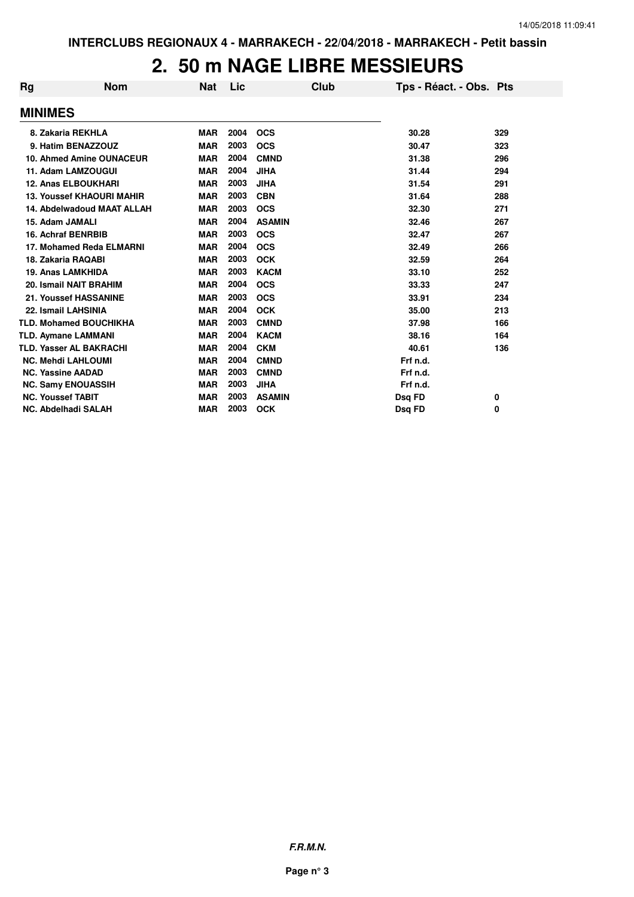#### **2. 50 m NAGE LIBRE MESSIEURS**

| Rg | <b>Nom</b>                       | <b>Nat</b> | Lic  |               | Club | Tps - Réact. - Obs. Pts |     |
|----|----------------------------------|------------|------|---------------|------|-------------------------|-----|
|    | <b>MINIMES</b>                   |            |      |               |      |                         |     |
|    | 8. Zakaria REKHLA                | <b>MAR</b> | 2004 | <b>OCS</b>    |      | 30.28                   | 329 |
|    | 9. Hatim BENAZZOUZ               | <b>MAR</b> | 2003 | <b>OCS</b>    |      | 30.47                   | 323 |
|    | 10. Ahmed Amine OUNACEUR         | <b>MAR</b> | 2004 | <b>CMND</b>   |      | 31.38                   | 296 |
|    | 11. Adam LAMZOUGUI               | <b>MAR</b> | 2004 | <b>JIHA</b>   |      | 31.44                   | 294 |
|    | <b>12. Anas ELBOUKHARI</b>       | <b>MAR</b> | 2003 | <b>JIHA</b>   |      | 31.54                   | 291 |
|    | <b>13. Youssef KHAOURI MAHIR</b> | <b>MAR</b> | 2003 | <b>CBN</b>    |      | 31.64                   | 288 |
|    | 14. Abdelwadoud MAAT ALLAH       | <b>MAR</b> | 2003 | <b>OCS</b>    |      | 32.30                   | 271 |
|    | 15. Adam JAMALI                  | <b>MAR</b> | 2004 | <b>ASAMIN</b> |      | 32.46                   | 267 |
|    | <b>16. Achraf BENRBIB</b>        | <b>MAR</b> | 2003 | <b>OCS</b>    |      | 32.47                   | 267 |
|    | 17. Mohamed Reda ELMARNI         | <b>MAR</b> | 2004 | <b>OCS</b>    |      | 32.49                   | 266 |
|    | 18. Zakaria RAQABI               | <b>MAR</b> | 2003 | <b>OCK</b>    |      | 32.59                   | 264 |
|    | <b>19. Anas LAMKHIDA</b>         | <b>MAR</b> | 2003 | <b>KACM</b>   |      | 33.10                   | 252 |
|    | 20. Ismail NAIT BRAHIM           | <b>MAR</b> | 2004 | <b>OCS</b>    |      | 33.33                   | 247 |
|    | 21. Youssef HASSANINE            | <b>MAR</b> | 2003 | <b>OCS</b>    |      | 33.91                   | 234 |
|    | 22. Ismail LAHSINIA              | <b>MAR</b> | 2004 | <b>OCK</b>    |      | 35.00                   | 213 |
|    | <b>TLD. Mohamed BOUCHIKHA</b>    | <b>MAR</b> | 2003 | <b>CMND</b>   |      | 37.98                   | 166 |
|    | <b>TLD. Aymane LAMMANI</b>       | <b>MAR</b> | 2004 | <b>KACM</b>   |      | 38.16                   | 164 |
|    | <b>TLD. Yasser AL BAKRACHI</b>   | <b>MAR</b> | 2004 | <b>CKM</b>    |      | 40.61                   | 136 |
|    | <b>NC. Mehdi LAHLOUMI</b>        | <b>MAR</b> | 2004 | <b>CMND</b>   |      | Frf n.d.                |     |
|    | <b>NC. Yassine AADAD</b>         | <b>MAR</b> | 2003 | <b>CMND</b>   |      | Frf n.d.                |     |
|    | <b>NC. Samy ENOUASSIH</b>        | <b>MAR</b> | 2003 | <b>JIHA</b>   |      | Frf n.d.                |     |
|    | <b>NC. Youssef TABIT</b>         | <b>MAR</b> | 2003 | <b>ASAMIN</b> |      | Dsq FD                  | 0   |
|    | <b>NC. Abdelhadi SALAH</b>       | <b>MAR</b> | 2003 | <b>OCK</b>    |      | Dsq FD                  | 0   |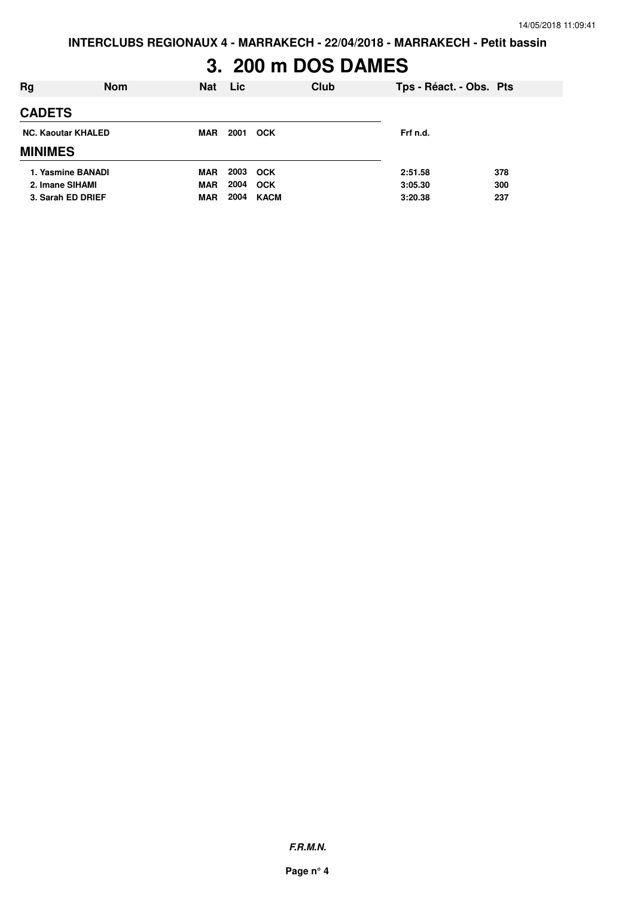# **3. 200 m DOS DAMES**

| Rg                        | <b>Nom</b> | <b>Nat</b> | <b>Lic</b> | Club       | Tps - Réact. - Obs. Pts |     |
|---------------------------|------------|------------|------------|------------|-------------------------|-----|
| <b>CADETS</b>             |            |            |            |            |                         |     |
| <b>NC. Kaoutar KHALED</b> |            | <b>MAR</b> | 2001       | <b>OCK</b> | Frf n.d.                |     |
| <b>MINIMES</b>            |            |            |            |            |                         |     |
| 1. Yasmine BANADI         |            | <b>MAR</b> | 2003       | <b>OCK</b> | 2:51.58                 | 378 |
| 2. Imane SIHAMI           |            | <b>MAR</b> | 2004       | <b>OCK</b> | 3:05.30                 | 300 |
| 3. Sarah ED DRIEF         |            | <b>MAR</b> | 2004       | KACM       | 3:20.38                 | 237 |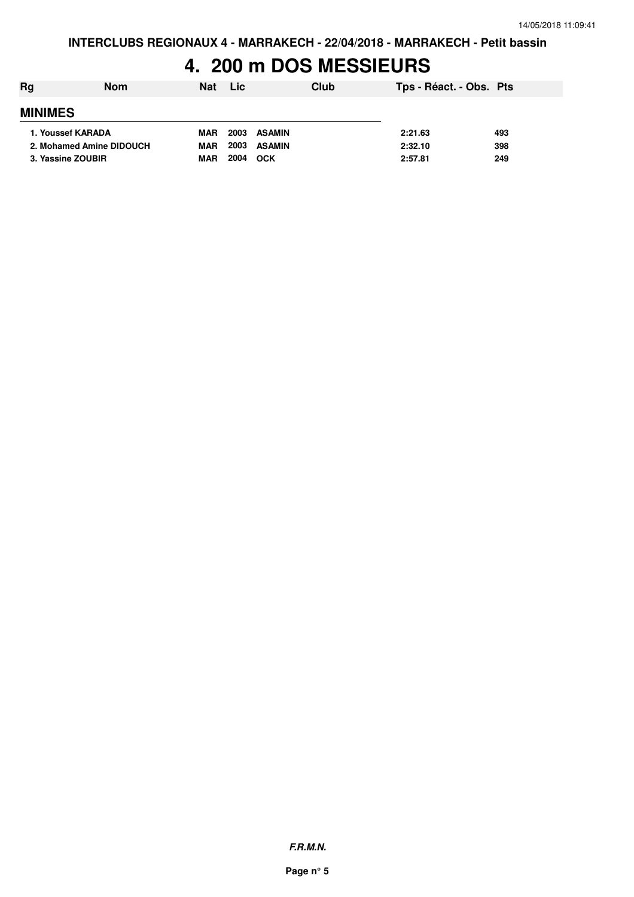### **4. 200 m DOS MESSIEURS**

| Rg             | Nom                      | <b>Nat</b> | <b>Lic</b> | Club          | Tps - Réact. - Obs. Pts |     |
|----------------|--------------------------|------------|------------|---------------|-------------------------|-----|
| <b>MINIMES</b> |                          |            |            |               |                         |     |
|                | 1. Youssef KARADA        | <b>MAR</b> | 2003       | ASAMIN        | 2:21.63                 | 493 |
|                | 2. Mohamed Amine DIDOUCH | <b>MAR</b> | 2003       | <b>ASAMIN</b> | 2:32.10                 | 398 |
|                | 3. Yassine ZOUBIR        | <b>MAR</b> | 2004       | OCK           | 2:57.81                 | 249 |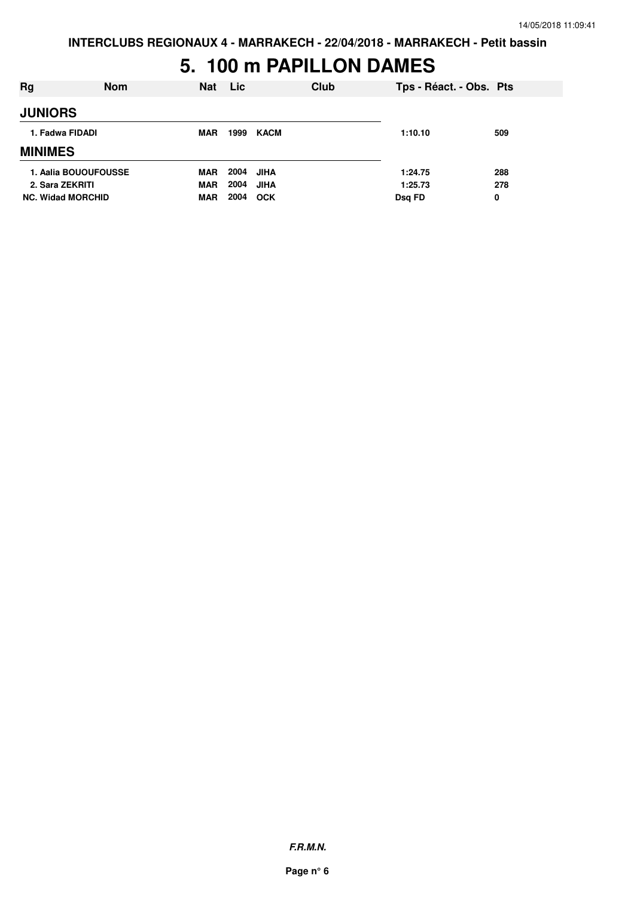#### **5. 100 m PAPILLON DAMES**

| Rg                       | <b>Nom</b> | <b>Nat</b> | <b>Lic</b> |             | Club | Tps - Réact. - Obs. Pts |     |
|--------------------------|------------|------------|------------|-------------|------|-------------------------|-----|
| <b>JUNIORS</b>           |            |            |            |             |      |                         |     |
| 1. Fadwa FIDADI          |            | <b>MAR</b> | 1999       | KACM        |      | 1:10.10                 | 509 |
| <b>MINIMES</b>           |            |            |            |             |      |                         |     |
| 1. Aalia BOUOUFOUSSE     |            | <b>MAR</b> | 2004       | JIHA        |      | 1:24.75                 | 288 |
| 2. Sara ZEKRITI          |            | <b>MAR</b> | 2004       | <b>JIHA</b> |      | 1:25.73                 | 278 |
| <b>NC. Widad MORCHID</b> |            | <b>MAR</b> | 2004       | <b>OCK</b>  |      | Dsq FD                  | 0   |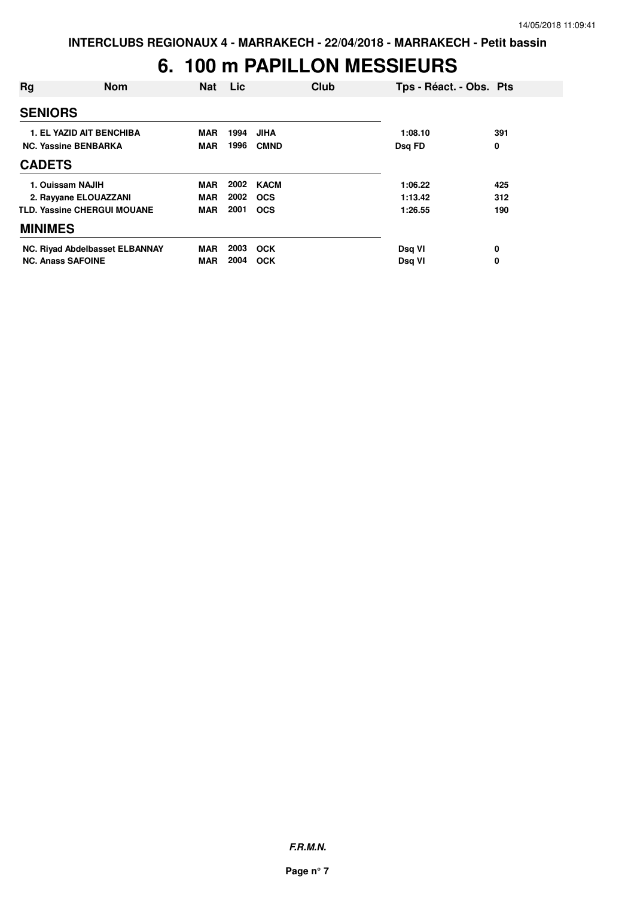# **6. 100 m PAPILLON MESSIEURS**

| Rg                       | <b>Nom</b>                         | <b>Nat</b> | Lic  | Club        | Tps - Réact. - Obs. Pts |     |
|--------------------------|------------------------------------|------------|------|-------------|-------------------------|-----|
| <b>SENIORS</b>           |                                    |            |      |             |                         |     |
|                          | <b>1. EL YAZID AIT BENCHIBA</b>    | <b>MAR</b> | 1994 | <b>JIHA</b> | 1:08.10                 | 391 |
|                          | <b>NC. Yassine BENBARKA</b>        | <b>MAR</b> | 1996 | <b>CMND</b> | Dsq FD                  | 0   |
| <b>CADETS</b>            |                                    |            |      |             |                         |     |
|                          | 1. Ouissam NAJIH                   | <b>MAR</b> | 2002 | KACM        | 1:06.22                 | 425 |
|                          | 2. Rayyane ELOUAZZANI              | <b>MAR</b> | 2002 | <b>OCS</b>  | 1:13.42                 | 312 |
|                          | <b>TLD. Yassine CHERGUI MOUANE</b> | <b>MAR</b> | 2001 | <b>OCS</b>  | 1:26.55                 | 190 |
| <b>MINIMES</b>           |                                    |            |      |             |                         |     |
|                          | NC. Riyad Abdelbasset ELBANNAY     | <b>MAR</b> | 2003 | <b>OCK</b>  | Dsq VI                  | 0   |
| <b>NC. Anass SAFOINE</b> |                                    | MAR        | 2004 | <b>OCK</b>  | Dsg VI                  | 0   |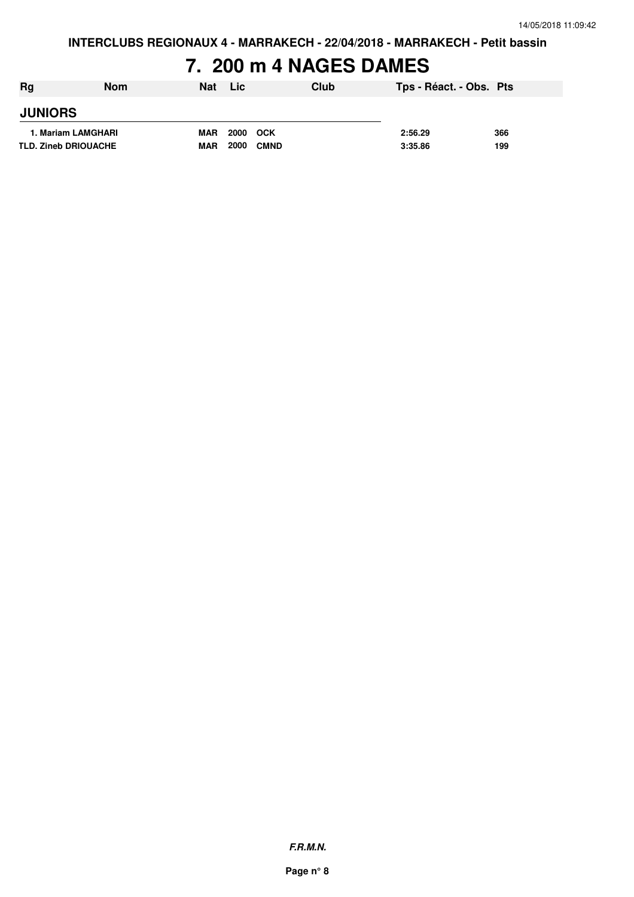# **7. 200 m 4 NAGES DAMES**

| <b>Rg</b>      | Nom                         | <b>Nat</b> | Lic                 | Club | Tps - Réact. - Obs. Pts |     |
|----------------|-----------------------------|------------|---------------------|------|-------------------------|-----|
| <b>JUNIORS</b> |                             |            |                     |      |                         |     |
|                | 1. Mariam LAMGHARI          | <b>MAR</b> | 2000<br>оск         |      | 2:56.29                 | 366 |
|                | <b>TLD. Zineb DRIOUACHE</b> | <b>MAR</b> | 2000<br><b>CMND</b> |      | 3:35.86                 | 199 |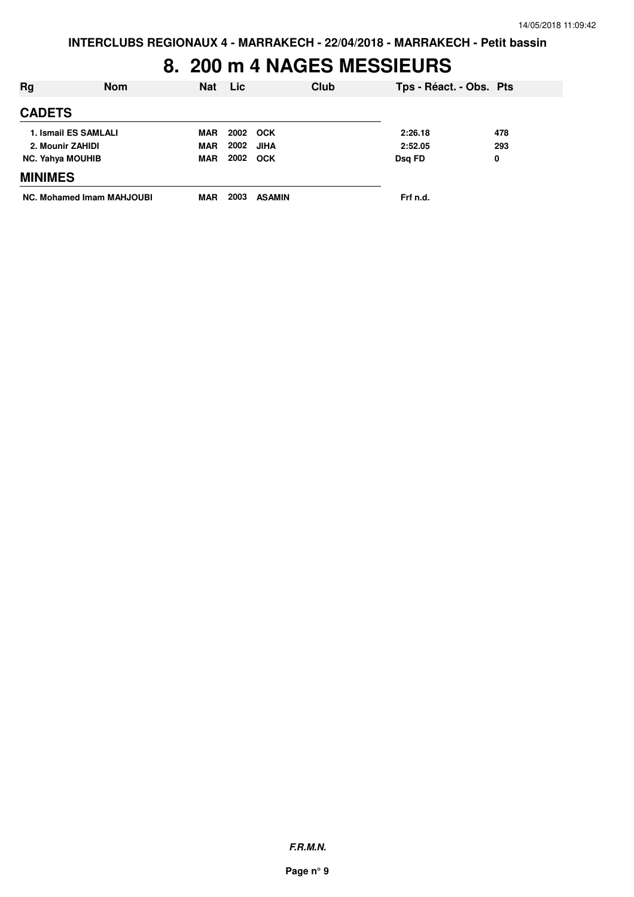#### **8. 200 m 4 NAGES MESSIEURS**

| Rg                      | <b>Nom</b>                | <b>Nat</b> | <b>Lic</b> | Club          | Tps - Réact. - Obs. Pts |     |
|-------------------------|---------------------------|------------|------------|---------------|-------------------------|-----|
| <b>CADETS</b>           |                           |            |            |               |                         |     |
|                         | 1. Ismail ES SAMLALI      | MAR        |            | 2002 OCK      | 2:26.18                 | 478 |
| 2. Mounir ZAHIDI        |                           | <b>MAR</b> | 2002       | JIHA          | 2:52.05                 | 293 |
| <b>NC. Yahya MOUHIB</b> |                           | <b>MAR</b> |            | 2002 OCK      | Dsq FD                  | 0   |
| <b>MINIMES</b>          |                           |            |            |               |                         |     |
|                         | NC. Mohamed Imam MAHJOUBI | MAR        | 2003       | <b>ASAMIN</b> | Frf n.d.                |     |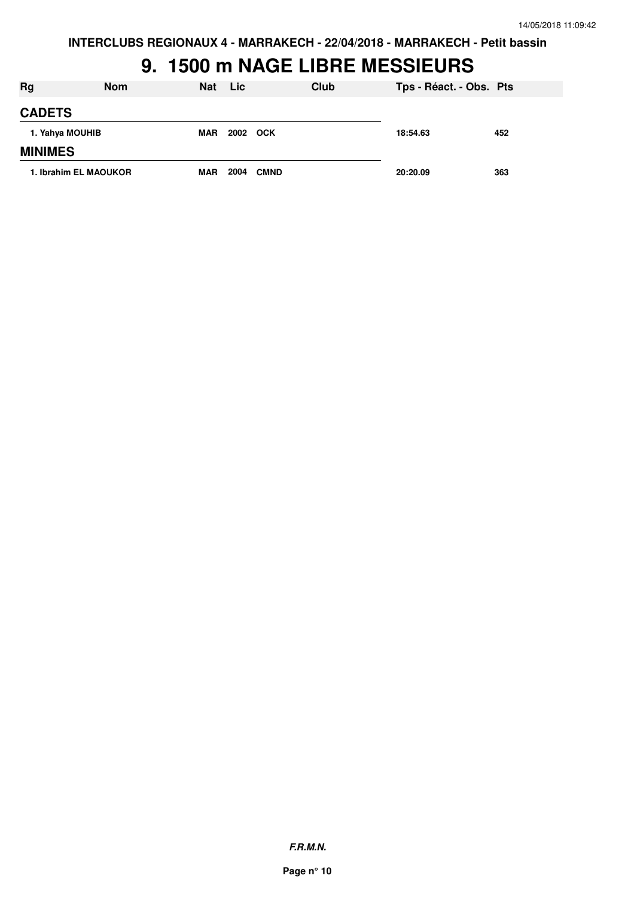#### **9. 1500 m NAGE LIBRE MESSIEURS**

| <b>Rg</b>       | <b>Nom</b>            | Nat        | <b>Lic</b> | Club        | Tps - Réact. - Obs. Pts |     |
|-----------------|-----------------------|------------|------------|-------------|-------------------------|-----|
| <b>CADETS</b>   |                       |            |            |             |                         |     |
| 1. Yahya MOUHIB |                       | <b>MAR</b> | 2002 OCK   |             | 18:54.63                | 452 |
| <b>MINIMES</b>  |                       |            |            |             |                         |     |
|                 | 1. Ibrahim EL MAOUKOR | <b>MAR</b> | 2004       | <b>CMND</b> | 20:20.09                | 363 |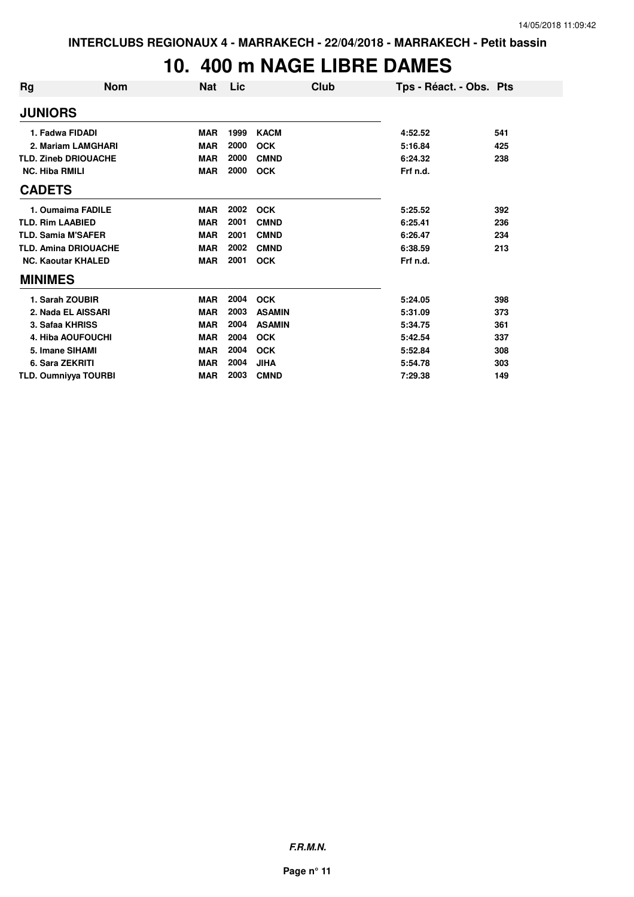# **10. 400 m NAGE LIBRE DAMES**

| Rg                        | <b>Nom</b>                  | <b>Nat</b> | Lic  | Club          | Tps - Réact. - Obs. Pts |     |
|---------------------------|-----------------------------|------------|------|---------------|-------------------------|-----|
| <b>JUNIORS</b>            |                             |            |      |               |                         |     |
| 1. Fadwa FIDADI           |                             | <b>MAR</b> | 1999 | <b>KACM</b>   | 4:52.52                 | 541 |
|                           | 2. Mariam LAMGHARI          | <b>MAR</b> | 2000 | <b>OCK</b>    | 5:16.84                 | 425 |
|                           | <b>TLD. Zineb DRIOUACHE</b> | <b>MAR</b> | 2000 | <b>CMND</b>   | 6:24.32                 | 238 |
| <b>NC. Hiba RMILI</b>     |                             | <b>MAR</b> | 2000 | <b>OCK</b>    | Frf n.d.                |     |
| <b>CADETS</b>             |                             |            |      |               |                         |     |
|                           | 1. Oumaima FADILE           | <b>MAR</b> | 2002 | <b>OCK</b>    | 5:25.52                 | 392 |
| <b>TLD. Rim LAABIED</b>   |                             | <b>MAR</b> | 2001 | <b>CMND</b>   | 6:25.41                 | 236 |
| <b>TLD. Samia M'SAFER</b> |                             | <b>MAR</b> | 2001 | <b>CMND</b>   | 6:26.47                 | 234 |
|                           | <b>TLD. Amina DRIOUACHE</b> | <b>MAR</b> | 2002 | <b>CMND</b>   | 6:38.59                 | 213 |
|                           | <b>NC. Kaoutar KHALED</b>   | <b>MAR</b> | 2001 | <b>OCK</b>    | Frf n.d.                |     |
| <b>MINIMES</b>            |                             |            |      |               |                         |     |
|                           | 1. Sarah ZOUBIR             | <b>MAR</b> | 2004 | <b>OCK</b>    | 5:24.05                 | 398 |
|                           | 2. Nada EL AISSARI          | <b>MAR</b> | 2003 | <b>ASAMIN</b> | 5:31.09                 | 373 |
| 3. Safaa KHRISS           |                             | <b>MAR</b> | 2004 | <b>ASAMIN</b> | 5:34.75                 | 361 |
|                           | 4. Hiba AOUFOUCHI           | <b>MAR</b> | 2004 | <b>OCK</b>    | 5:42.54                 | 337 |
| 5. Imane SIHAMI           |                             | <b>MAR</b> | 2004 | <b>OCK</b>    | 5:52.84                 | 308 |
| 6. Sara ZEKRITI           |                             | <b>MAR</b> | 2004 | <b>JIHA</b>   | 5:54.78                 | 303 |
|                           | <b>TLD. Oumniyya TOURBI</b> | <b>MAR</b> | 2003 | <b>CMND</b>   | 7:29.38                 | 149 |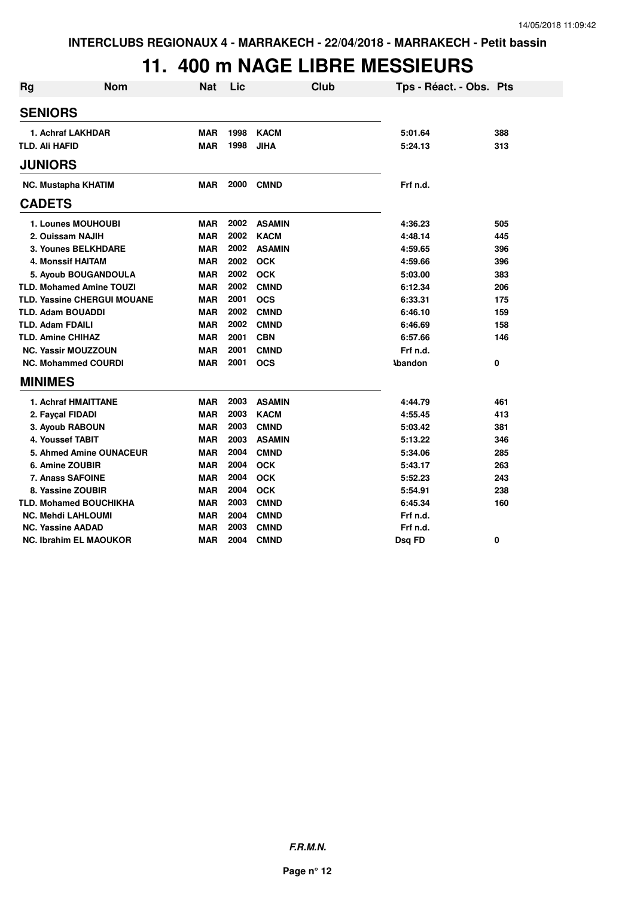### **11. 400 m NAGE LIBRE MESSIEURS**

| <b>Rg</b>      | <b>Nom</b>                         | <b>Nat</b> | Lic  | Club          | Tps - Réact. - Obs. Pts |     |
|----------------|------------------------------------|------------|------|---------------|-------------------------|-----|
| <b>SENIORS</b> |                                    |            |      |               |                         |     |
|                | 1. Achraf LAKHDAR                  | <b>MAR</b> | 1998 | <b>KACM</b>   | 5:01.64                 | 388 |
| TLD. Ali HAFID |                                    | <b>MAR</b> | 1998 | <b>JIHA</b>   | 5:24.13                 | 313 |
| <b>JUNIORS</b> |                                    |            |      |               |                         |     |
|                | <b>NC. Mustapha KHATIM</b>         | MAR        | 2000 | <b>CMND</b>   | Frf n.d.                |     |
| <b>CADETS</b>  |                                    |            |      |               |                         |     |
|                | 1. Lounes MOUHOUBI                 | <b>MAR</b> | 2002 | <b>ASAMIN</b> | 4:36.23                 | 505 |
|                | 2. Ouissam NAJIH                   | <b>MAR</b> | 2002 | <b>KACM</b>   | 4:48.14                 | 445 |
|                | <b>3. Younes BELKHDARE</b>         | <b>MAR</b> | 2002 | <b>ASAMIN</b> | 4:59.65                 | 396 |
|                | 4. Monssif HAITAM                  | <b>MAR</b> | 2002 | <b>OCK</b>    | 4:59.66                 | 396 |
|                | 5. Ayoub BOUGANDOULA               | <b>MAR</b> | 2002 | <b>OCK</b>    | 5:03.00                 | 383 |
|                | <b>TLD. Mohamed Amine TOUZI</b>    | <b>MAR</b> | 2002 | <b>CMND</b>   | 6:12.34                 | 206 |
|                | <b>TLD. Yassine CHERGUI MOUANE</b> | <b>MAR</b> | 2001 | <b>OCS</b>    | 6:33.31                 | 175 |
|                | <b>TLD. Adam BOUADDI</b>           | <b>MAR</b> | 2002 | <b>CMND</b>   | 6:46.10                 | 159 |
|                | <b>TLD. Adam FDAILI</b>            | <b>MAR</b> | 2002 | <b>CMND</b>   | 6:46.69                 | 158 |
|                | <b>TLD. Amine CHIHAZ</b>           | MAR        | 2001 | <b>CBN</b>    | 6:57.66                 | 146 |
|                | <b>NC. Yassir MOUZZOUN</b>         | <b>MAR</b> | 2001 | <b>CMND</b>   | Frf n.d.                |     |
|                | <b>NC. Mohammed COURDI</b>         | <b>MAR</b> | 2001 | <b>OCS</b>    | <b>\bandon</b>          | 0   |
| <b>MINIMES</b> |                                    |            |      |               |                         |     |
|                | 1. Achraf HMAITTANE                | <b>MAR</b> | 2003 | <b>ASAMIN</b> | 4:44.79                 | 461 |
|                | 2. Fayçal FIDADI                   | <b>MAR</b> | 2003 | <b>KACM</b>   | 4:55.45                 | 413 |
|                | 3. Ayoub RABOUN                    | <b>MAR</b> | 2003 | <b>CMND</b>   | 5:03.42                 | 381 |
|                | 4. Youssef TABIT                   | <b>MAR</b> | 2003 | <b>ASAMIN</b> | 5:13.22                 | 346 |
|                | 5. Ahmed Amine OUNACEUR            | <b>MAR</b> | 2004 | <b>CMND</b>   | 5:34.06                 | 285 |
|                | 6. Amine ZOUBIR                    | <b>MAR</b> | 2004 | <b>OCK</b>    | 5:43.17                 | 263 |
|                | <b>7. Anass SAFOINE</b>            | <b>MAR</b> | 2004 | <b>OCK</b>    | 5:52.23                 | 243 |
|                | 8. Yassine ZOUBIR                  | <b>MAR</b> | 2004 | <b>OCK</b>    | 5:54.91                 | 238 |
|                | <b>TLD. Mohamed BOUCHIKHA</b>      | <b>MAR</b> | 2003 | <b>CMND</b>   | 6:45.34                 | 160 |
|                | <b>NC. Mehdi LAHLOUMI</b>          | <b>MAR</b> | 2004 | <b>CMND</b>   | Frf n.d.                |     |
|                | <b>NC. Yassine AADAD</b>           | <b>MAR</b> | 2003 | <b>CMND</b>   | Frf n.d.                |     |
|                | <b>NC. Ibrahim EL MAOUKOR</b>      | MAR        | 2004 | <b>CMND</b>   | Dsq FD                  | 0   |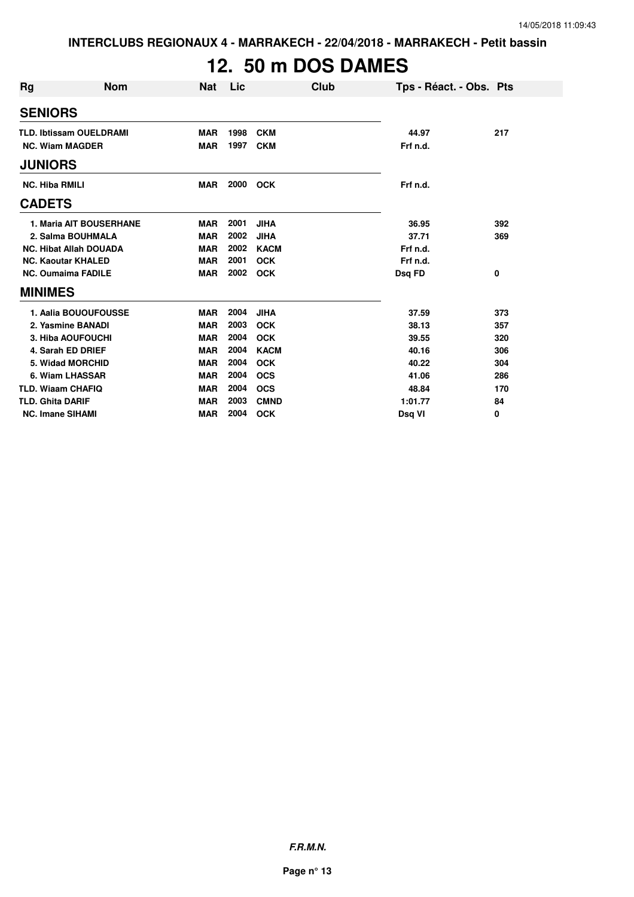# **12. 50 m DOS DAMES**

| <b>Rg</b><br><b>Nom</b>        | <b>Nat</b> | Lic  | Club        | Tps - Réact. - Obs. Pts |     |
|--------------------------------|------------|------|-------------|-------------------------|-----|
| <b>SENIORS</b>                 |            |      |             |                         |     |
| <b>TLD. Ibtissam OUELDRAMI</b> | <b>MAR</b> | 1998 | <b>CKM</b>  | 44.97                   | 217 |
| <b>NC. Wiam MAGDER</b>         | <b>MAR</b> | 1997 | <b>CKM</b>  | Frf n.d.                |     |
| <b>JUNIORS</b>                 |            |      |             |                         |     |
| <b>NC. Hiba RMILI</b>          | <b>MAR</b> | 2000 | <b>OCK</b>  | Frf n.d.                |     |
| <b>CADETS</b>                  |            |      |             |                         |     |
| <b>1. Maria AIT BOUSERHANE</b> | <b>MAR</b> | 2001 | <b>JIHA</b> | 36.95                   | 392 |
| 2. Salma BOUHMALA              | <b>MAR</b> | 2002 | <b>JIHA</b> | 37.71                   | 369 |
| <b>NC. Hibat Allah DOUADA</b>  | <b>MAR</b> | 2002 | <b>KACM</b> | Frf n.d.                |     |
| <b>NC. Kaoutar KHALED</b>      | <b>MAR</b> | 2001 | <b>OCK</b>  | Frf n.d.                |     |
| <b>NC. Oumaima FADILE</b>      | <b>MAR</b> | 2002 | <b>OCK</b>  | Dsq FD                  | 0   |
| <b>MINIMES</b>                 |            |      |             |                         |     |
| 1. Aalia BOUOUFOUSSE           | <b>MAR</b> | 2004 | <b>JIHA</b> | 37.59                   | 373 |
| 2. Yasmine BANADI              | <b>MAR</b> | 2003 | <b>OCK</b>  | 38.13                   | 357 |
| 3. Hiba AOUFOUCHI              | <b>MAR</b> | 2004 | <b>OCK</b>  | 39.55                   | 320 |
| 4. Sarah ED DRIEF              | <b>MAR</b> | 2004 | <b>KACM</b> | 40.16                   | 306 |
| 5. Widad MORCHID               | <b>MAR</b> | 2004 | <b>OCK</b>  | 40.22                   | 304 |
| 6. Wiam LHASSAR                | <b>MAR</b> | 2004 | <b>OCS</b>  | 41.06                   | 286 |
| <b>TLD. Wiaam CHAFIQ</b>       | <b>MAR</b> | 2004 | <b>OCS</b>  | 48.84                   | 170 |
| <b>TLD. Ghita DARIF</b>        | <b>MAR</b> | 2003 | <b>CMND</b> | 1:01.77                 | 84  |
| <b>NC. Imane SIHAMI</b>        | <b>MAR</b> | 2004 | <b>OCK</b>  | Dsg VI                  | 0   |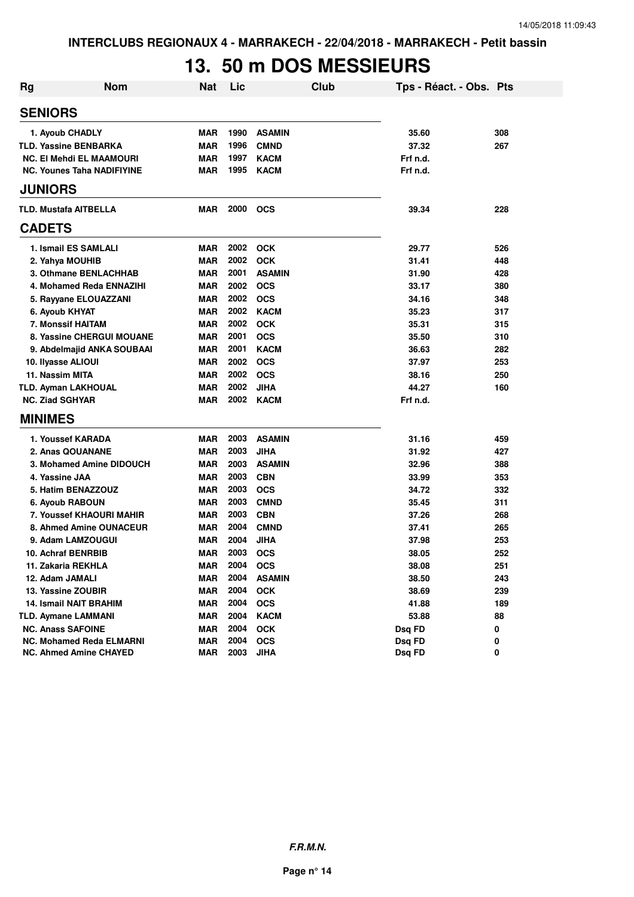### **13. 50 m DOS MESSIEURS**

| <b>Rg</b> | <b>Nom</b>                        | <b>Nat</b> | Lic  | Club          | Tps - Réact. - Obs. Pts |     |
|-----------|-----------------------------------|------------|------|---------------|-------------------------|-----|
|           | <b>SENIORS</b>                    |            |      |               |                         |     |
|           | 1. Ayoub CHADLY                   | <b>MAR</b> | 1990 | <b>ASAMIN</b> | 35.60                   | 308 |
|           | <b>TLD. Yassine BENBARKA</b>      | <b>MAR</b> | 1996 | <b>CMND</b>   | 37.32                   | 267 |
|           | <b>NC. El Mehdi EL MAAMOURI</b>   | <b>MAR</b> | 1997 | <b>KACM</b>   | Frf n.d.                |     |
|           | <b>NC. Younes Taha NADIFIYINE</b> | <b>MAR</b> | 1995 | <b>KACM</b>   | Frf n.d.                |     |
|           | <b>JUNIORS</b>                    |            |      |               |                         |     |
|           | <b>TLD. Mustafa AITBELLA</b>      | <b>MAR</b> | 2000 | <b>OCS</b>    | 39.34                   | 228 |
|           | <b>CADETS</b>                     |            |      |               |                         |     |
|           | 1. Ismail ES SAMLALI              | <b>MAR</b> | 2002 | <b>OCK</b>    | 29.77                   | 526 |
|           | 2. Yahya MOUHIB                   | <b>MAR</b> | 2002 | <b>OCK</b>    | 31.41                   | 448 |
|           | 3. Othmane BENLACHHAB             | <b>MAR</b> | 2001 | <b>ASAMIN</b> | 31.90                   | 428 |
|           | 4. Mohamed Reda ENNAZIHI          | <b>MAR</b> | 2002 | <b>OCS</b>    | 33.17                   | 380 |
|           | 5. Rayyane ELOUAZZANI             | <b>MAR</b> | 2002 | <b>OCS</b>    | 34.16                   | 348 |
|           | 6. Ayoub KHYAT                    | <b>MAR</b> | 2002 | <b>KACM</b>   | 35.23                   | 317 |
|           | 7. Monssif HAITAM                 | <b>MAR</b> | 2002 | <b>OCK</b>    | 35.31                   | 315 |
|           | 8. Yassine CHERGUI MOUANE         | <b>MAR</b> | 2001 | <b>OCS</b>    | 35.50                   | 310 |
|           | 9. Abdelmajid ANKA SOUBAAI        | <b>MAR</b> | 2001 | <b>KACM</b>   | 36.63                   | 282 |
|           | 10. Ilyasse ALIOUI                | <b>MAR</b> | 2002 | <b>OCS</b>    | 37.97                   | 253 |
|           | 11. Nassim MITA                   | <b>MAR</b> | 2002 | <b>OCS</b>    | 38.16                   | 250 |
|           | <b>TLD. Ayman LAKHOUAL</b>        | <b>MAR</b> | 2002 | <b>JIHA</b>   | 44.27                   | 160 |
|           | <b>NC. Ziad SGHYAR</b>            | <b>MAR</b> | 2002 | <b>KACM</b>   | Frf n.d.                |     |
|           | <b>MINIMES</b>                    |            |      |               |                         |     |
|           | 1. Youssef KARADA                 | <b>MAR</b> | 2003 | <b>ASAMIN</b> | 31.16                   | 459 |
|           | 2. Anas QOUANANE                  | <b>MAR</b> | 2003 | <b>JIHA</b>   | 31.92                   | 427 |
|           | 3. Mohamed Amine DIDOUCH          | <b>MAR</b> | 2003 | <b>ASAMIN</b> | 32.96                   | 388 |
|           | 4. Yassine JAA                    | <b>MAR</b> | 2003 | <b>CBN</b>    | 33.99                   | 353 |
|           | 5. Hatim BENAZZOUZ                | <b>MAR</b> | 2003 | <b>OCS</b>    | 34.72                   | 332 |
|           | 6. Ayoub RABOUN                   | <b>MAR</b> | 2003 | <b>CMND</b>   | 35.45                   | 311 |
|           | 7. Youssef KHAOURI MAHIR          | <b>MAR</b> | 2003 | <b>CBN</b>    | 37.26                   | 268 |
|           | 8. Ahmed Amine OUNACEUR           | <b>MAR</b> | 2004 | <b>CMND</b>   | 37.41                   | 265 |
|           | 9. Adam LAMZOUGUI                 | <b>MAR</b> | 2004 | <b>JIHA</b>   | 37.98                   | 253 |
|           | 10. Achraf BENRBIB                | <b>MAR</b> | 2003 | <b>OCS</b>    | 38.05                   | 252 |
|           | 11. Zakaria REKHLA                | <b>MAR</b> | 2004 | <b>OCS</b>    | 38.08                   | 251 |
|           | 12. Adam JAMALI                   | <b>MAR</b> | 2004 | <b>ASAMIN</b> | 38.50                   | 243 |
|           | 13. Yassine ZOUBIR                | <b>MAR</b> | 2004 | <b>OCK</b>    | 38.69                   | 239 |
|           | <b>14. Ismail NAIT BRAHIM</b>     | <b>MAR</b> | 2004 | <b>OCS</b>    | 41.88                   | 189 |
|           | <b>TLD. Aymane LAMMANI</b>        | <b>MAR</b> | 2004 | <b>KACM</b>   | 53.88                   | 88  |
|           | <b>NC. Anass SAFOINE</b>          | <b>MAR</b> | 2004 | <b>OCK</b>    | Dsq FD                  | 0   |
|           | <b>NC. Mohamed Reda ELMARNI</b>   | <b>MAR</b> | 2004 | <b>OCS</b>    | Dsg FD                  | 0   |
|           | NC. Ahmed Amine CHAYED            | <b>MAR</b> | 2003 | <b>JIHA</b>   | Dsq FD                  | 0   |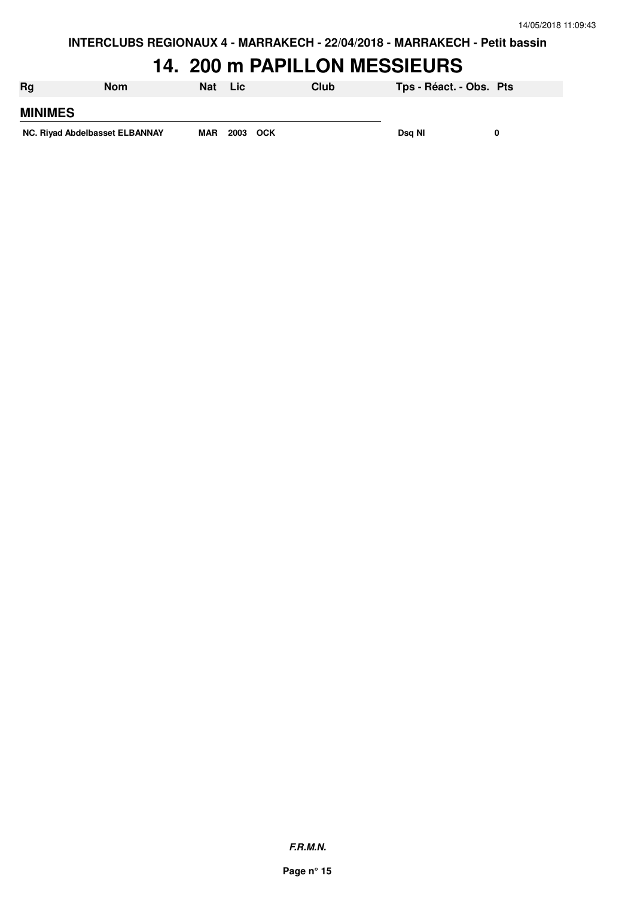#### **14. 200 m PAPILLON MESSIEURS**

| Rg                             | <b>Nom</b> | Nat        | Lic      | Club | Tps - Réact. - Obs. Pts |  |
|--------------------------------|------------|------------|----------|------|-------------------------|--|
| <b>MINIMES</b>                 |            |            |          |      |                         |  |
| NC. Rivad Abdelbasset ELBANNAY |            | <b>MAR</b> | 2003 OCK |      | Dsg NI                  |  |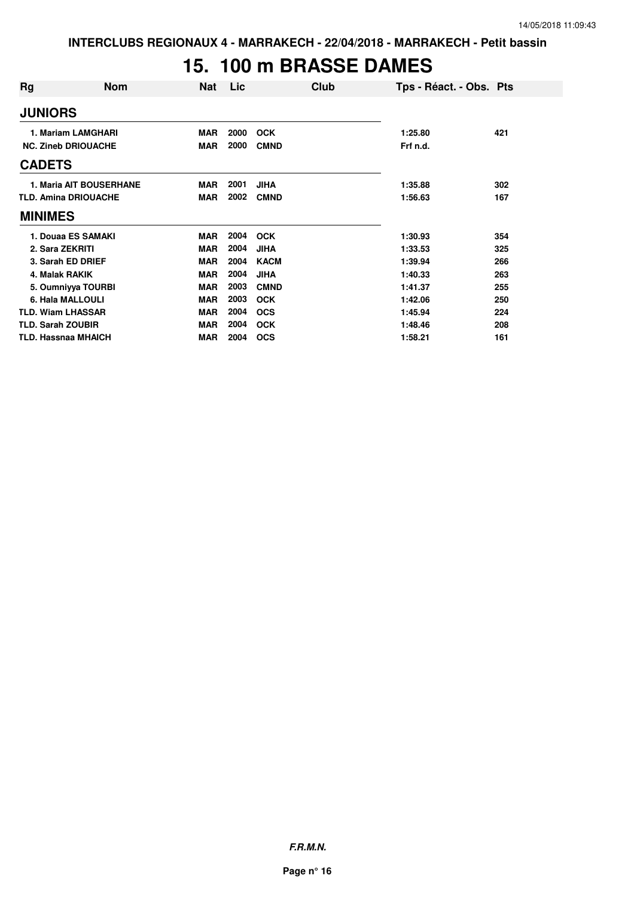# **15. 100 m BRASSE DAMES**

| Rg                         | <b>Nom</b>                     | Nat        | Lic  | Club        | Tps - Réact. - Obs. Pts |     |
|----------------------------|--------------------------------|------------|------|-------------|-------------------------|-----|
| <b>JUNIORS</b>             |                                |            |      |             |                         |     |
|                            | 1. Mariam LAMGHARI             | <b>MAR</b> | 2000 | <b>OCK</b>  | 1:25.80                 | 421 |
|                            | <b>NC. Zineb DRIOUACHE</b>     | <b>MAR</b> | 2000 | <b>CMND</b> | Frf n.d.                |     |
| <b>CADETS</b>              |                                |            |      |             |                         |     |
|                            | <b>1. Maria AIT BOUSERHANE</b> | <b>MAR</b> | 2001 | <b>JIHA</b> | 1:35.88                 | 302 |
|                            | <b>TLD. Amina DRIOUACHE</b>    | MAR        | 2002 | <b>CMND</b> | 1:56.63                 | 167 |
| <b>MINIMES</b>             |                                |            |      |             |                         |     |
|                            | 1. Douaa ES SAMAKI             | <b>MAR</b> | 2004 | <b>OCK</b>  | 1:30.93                 | 354 |
| 2. Sara ZEKRITI            |                                | <b>MAR</b> | 2004 | <b>JIHA</b> | 1:33.53                 | 325 |
|                            | 3. Sarah ED DRIEF              | <b>MAR</b> | 2004 | <b>KACM</b> | 1:39.94                 | 266 |
| 4. Malak RAKIK             |                                | <b>MAR</b> | 2004 | <b>JIHA</b> | 1:40.33                 | 263 |
|                            | 5. Oumniyya TOURBI             | <b>MAR</b> | 2003 | <b>CMND</b> | 1:41.37                 | 255 |
|                            | 6. Hala MALLOULI               | <b>MAR</b> | 2003 | <b>OCK</b>  | 1:42.06                 | 250 |
| <b>TLD. Wiam LHASSAR</b>   |                                | <b>MAR</b> | 2004 | <b>OCS</b>  | 1:45.94                 | 224 |
| <b>TLD. Sarah ZOUBIR</b>   |                                | <b>MAR</b> | 2004 | <b>OCK</b>  | 1:48.46                 | 208 |
| <b>TLD. Hassnaa MHAICH</b> |                                | <b>MAR</b> | 2004 | <b>OCS</b>  | 1:58.21                 | 161 |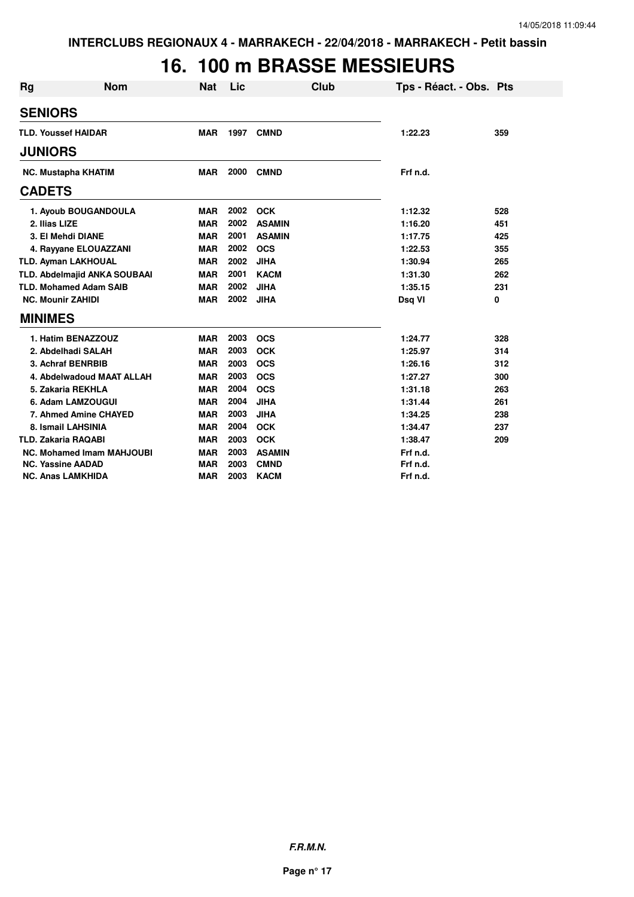### **16. 100 m BRASSE MESSIEURS**

| Rg | <b>Nom</b>                       | <b>Nat</b> | Lic  | <b>Club</b>   | Tps - Réact. - Obs. Pts |     |
|----|----------------------------------|------------|------|---------------|-------------------------|-----|
|    | <b>SENIORS</b>                   |            |      |               |                         |     |
|    | <b>TLD. Youssef HAIDAR</b>       | <b>MAR</b> | 1997 | <b>CMND</b>   | 1:22.23                 | 359 |
|    | <b>JUNIORS</b>                   |            |      |               |                         |     |
|    | <b>NC. Mustapha KHATIM</b>       | <b>MAR</b> | 2000 | <b>CMND</b>   | Frf n.d.                |     |
|    | <b>CADETS</b>                    |            |      |               |                         |     |
|    | 1. Ayoub BOUGANDOULA             | <b>MAR</b> | 2002 | <b>OCK</b>    | 1:12.32                 | 528 |
|    | 2. Ilias LIZE                    | <b>MAR</b> | 2002 | <b>ASAMIN</b> | 1:16.20                 | 451 |
|    | 3. El Mehdi DIANE                | <b>MAR</b> | 2001 | <b>ASAMIN</b> | 1:17.75                 | 425 |
|    | 4. Rayyane ELOUAZZANI            | <b>MAR</b> | 2002 | <b>OCS</b>    | 1:22.53                 | 355 |
|    | <b>TLD. Ayman LAKHOUAL</b>       | <b>MAR</b> | 2002 | <b>JIHA</b>   | 1:30.94                 | 265 |
|    | TLD. Abdelmajid ANKA SOUBAAI     | <b>MAR</b> | 2001 | <b>KACM</b>   | 1:31.30                 | 262 |
|    | <b>TLD. Mohamed Adam SAIB</b>    | <b>MAR</b> | 2002 | <b>JIHA</b>   | 1:35.15                 | 231 |
|    | <b>NC. Mounir ZAHIDI</b>         | <b>MAR</b> | 2002 | <b>JIHA</b>   | Dsq VI                  | 0   |
|    | <b>MINIMES</b>                   |            |      |               |                         |     |
|    | 1. Hatim BENAZZOUZ               | <b>MAR</b> | 2003 | <b>OCS</b>    | 1:24.77                 | 328 |
|    | 2. Abdelhadi SALAH               | <b>MAR</b> | 2003 | <b>OCK</b>    | 1:25.97                 | 314 |
|    | 3. Achraf BENRBIB                | <b>MAR</b> | 2003 | <b>OCS</b>    | 1:26.16                 | 312 |
|    | 4. Abdelwadoud MAAT ALLAH        | <b>MAR</b> | 2003 | <b>OCS</b>    | 1:27.27                 | 300 |
|    | 5. Zakaria REKHLA                | <b>MAR</b> | 2004 | <b>OCS</b>    | 1:31.18                 | 263 |
|    | 6. Adam LAMZOUGUI                | <b>MAR</b> | 2004 | <b>JIHA</b>   | 1:31.44                 | 261 |
|    | 7. Ahmed Amine CHAYED            | <b>MAR</b> | 2003 | <b>JIHA</b>   | 1:34.25                 | 238 |
|    | 8. Ismail LAHSINIA               | <b>MAR</b> | 2004 | <b>OCK</b>    | 1:34.47                 | 237 |
|    | <b>TLD. Zakaria RAQABI</b>       | <b>MAR</b> | 2003 | <b>OCK</b>    | 1:38.47                 | 209 |
|    | <b>NC. Mohamed Imam MAHJOUBI</b> | <b>MAR</b> | 2003 | <b>ASAMIN</b> | Frf n.d.                |     |
|    | <b>NC. Yassine AADAD</b>         | <b>MAR</b> | 2003 | <b>CMND</b>   | Frf n.d.                |     |
|    | <b>NC. Anas LAMKHIDA</b>         | <b>MAR</b> | 2003 | <b>KACM</b>   | Frf n.d.                |     |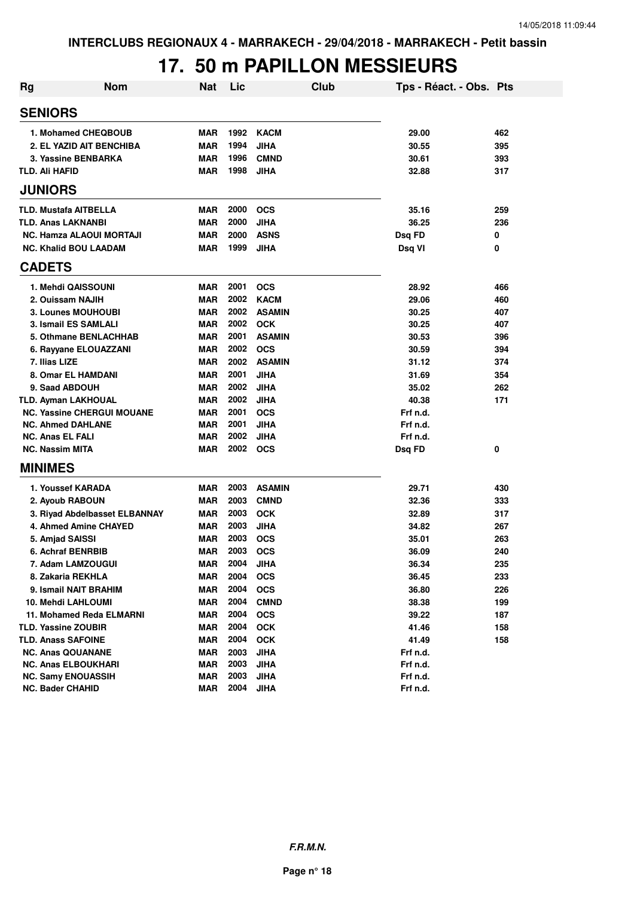# **17. 50 m PAPILLON MESSIEURS**

| <b>Rg</b> | <b>Nom</b>                        | <b>Nat</b> | Lic  | Club          | Tps - Réact. - Obs. Pts |     |
|-----------|-----------------------------------|------------|------|---------------|-------------------------|-----|
|           | <b>SENIORS</b>                    |            |      |               |                         |     |
|           | 1. Mohamed CHEQBOUB               | <b>MAR</b> | 1992 | <b>KACM</b>   | 29.00                   | 462 |
|           | 2. EL YAZID AIT BENCHIBA          | <b>MAR</b> | 1994 | <b>JIHA</b>   | 30.55                   | 395 |
|           | 3. Yassine BENBARKA               | <b>MAR</b> | 1996 | <b>CMND</b>   | 30.61                   | 393 |
|           | <b>TLD. Ali HAFID</b>             | <b>MAR</b> | 1998 | <b>JIHA</b>   | 32.88                   | 317 |
|           | <b>JUNIORS</b>                    |            |      |               |                         |     |
|           | <b>TLD. Mustafa AITBELLA</b>      | <b>MAR</b> | 2000 | <b>OCS</b>    | 35.16                   | 259 |
|           | <b>TLD. Anas LAKNANBI</b>         | <b>MAR</b> | 2000 | <b>JIHA</b>   | 36.25                   | 236 |
|           | <b>NC. Hamza ALAOUI MORTAJI</b>   | <b>MAR</b> | 2000 | <b>ASNS</b>   | Dsq FD                  | 0   |
|           | <b>NC. Khalid BOU LAADAM</b>      | <b>MAR</b> | 1999 | <b>JIHA</b>   | Dsq VI                  | 0   |
|           | <b>CADETS</b>                     |            |      |               |                         |     |
|           | 1. Mehdi QAISSOUNI                | <b>MAR</b> | 2001 | <b>OCS</b>    | 28.92                   | 466 |
|           | 2. Ouissam NAJIH                  | <b>MAR</b> | 2002 | <b>KACM</b>   | 29.06                   | 460 |
|           | 3. Lounes MOUHOUBI                | <b>MAR</b> | 2002 | <b>ASAMIN</b> | 30.25                   | 407 |
|           | 3. Ismail ES SAMLALI              | <b>MAR</b> | 2002 | <b>OCK</b>    | 30.25                   | 407 |
|           | 5. Othmane BENLACHHAB             | <b>MAR</b> | 2001 | <b>ASAMIN</b> | 30.53                   | 396 |
|           | 6. Rayyane ELOUAZZANI             | <b>MAR</b> | 2002 | <b>OCS</b>    | 30.59                   | 394 |
|           | 7. Ilias LIZE                     | <b>MAR</b> | 2002 | <b>ASAMIN</b> | 31.12                   | 374 |
|           | 8. Omar EL HAMDANI                | <b>MAR</b> | 2001 | <b>JIHA</b>   | 31.69                   | 354 |
|           | 9. Saad ABDOUH                    | <b>MAR</b> | 2002 | <b>JIHA</b>   | 35.02                   | 262 |
|           | <b>TLD. Ayman LAKHOUAL</b>        | MAR        | 2002 | <b>JIHA</b>   | 40.38                   | 171 |
|           | <b>NC. Yassine CHERGUI MOUANE</b> | <b>MAR</b> | 2001 | <b>OCS</b>    | Frf n.d.                |     |
|           | <b>NC. Ahmed DAHLANE</b>          | <b>MAR</b> | 2001 | <b>JIHA</b>   | Frf n.d.                |     |
|           | <b>NC. Anas EL FALI</b>           | <b>MAR</b> | 2002 | <b>JIHA</b>   | Frf n.d.                |     |
|           | <b>NC. Nassim MITA</b>            | <b>MAR</b> | 2002 | <b>OCS</b>    | Dsq FD                  | 0   |
|           | <b>MINIMES</b>                    |            |      |               |                         |     |
|           | 1. Youssef KARADA                 | <b>MAR</b> | 2003 | <b>ASAMIN</b> | 29.71                   | 430 |
|           | 2. Ayoub RABOUN                   | <b>MAR</b> | 2003 | <b>CMND</b>   | 32.36                   | 333 |
|           | 3. Riyad Abdelbasset ELBANNAY     | <b>MAR</b> | 2003 | <b>OCK</b>    | 32.89                   | 317 |
|           | 4. Ahmed Amine CHAYED             | <b>MAR</b> | 2003 | <b>JIHA</b>   | 34.82                   | 267 |
|           | 5. Amjad SAISSI                   | <b>MAR</b> | 2003 | <b>OCS</b>    | 35.01                   | 263 |
|           | 6. Achraf BENRBIB                 | <b>MAR</b> | 2003 | <b>OCS</b>    | 36.09                   | 240 |
|           | 7. Adam LAMZOUGUI                 | MAR        | 2004 | <b>JIHA</b>   | 36.34                   | 235 |
|           | 8. Zakaria REKHLA                 | <b>MAR</b> | 2004 | <b>OCS</b>    | 36.45                   | 233 |
|           | 9. Ismail NAIT BRAHIM             | <b>MAR</b> | 2004 | <b>OCS</b>    | 36.80                   | 226 |
|           | 10. Mehdi LAHLOUMI                | <b>MAR</b> | 2004 | <b>CMND</b>   | 38.38                   | 199 |
|           | 11. Mohamed Reda ELMARNI          | MAR        | 2004 | <b>OCS</b>    | 39.22                   | 187 |
|           | <b>TLD. Yassine ZOUBIR</b>        | MAR        | 2004 | <b>OCK</b>    | 41.46                   | 158 |
|           | <b>TLD. Anass SAFOINE</b>         | MAR        | 2004 | <b>OCK</b>    | 41.49                   | 158 |
|           | <b>NC. Anas QOUANANE</b>          | MAR        | 2003 | <b>JIHA</b>   | Frf n.d.                |     |
|           | <b>NC. Anas ELBOUKHARI</b>        | <b>MAR</b> | 2003 | <b>JIHA</b>   | Frf n.d.                |     |
|           | <b>NC. Samy ENOUASSIH</b>         | <b>MAR</b> | 2003 | <b>JIHA</b>   | Frf n.d.                |     |
|           | <b>NC. Bader CHAHID</b>           | <b>MAR</b> | 2004 | <b>JIHA</b>   | Frf n.d.                |     |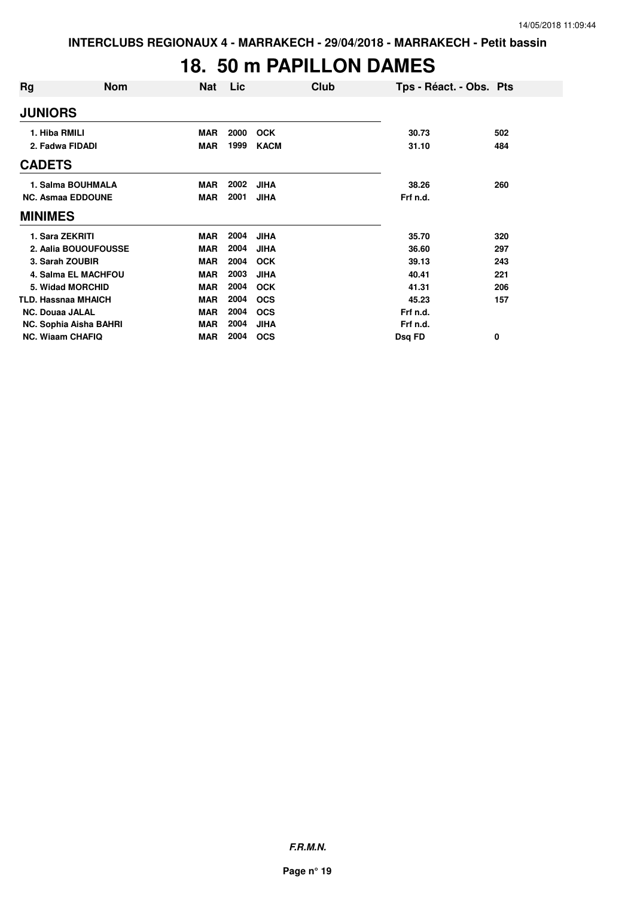#### **18. 50 m PAPILLON DAMES**

| Rg                      | <b>Nom</b>                 | Nat        | <b>Lic</b> | Club        | Tps - Réact. - Obs. Pts |     |
|-------------------------|----------------------------|------------|------------|-------------|-------------------------|-----|
| <b>JUNIORS</b>          |                            |            |            |             |                         |     |
| 1. Hiba RMILI           |                            | <b>MAR</b> | 2000       | <b>OCK</b>  | 30.73                   | 502 |
| 2. Fadwa FIDADI         |                            | <b>MAR</b> | 1999       | <b>KACM</b> | 31.10                   | 484 |
| <b>CADETS</b>           |                            |            |            |             |                         |     |
|                         | 1. Salma BOUHMALA          | <b>MAR</b> | 2002       | <b>JIHA</b> | 38.26                   | 260 |
|                         | <b>NC. Asmaa EDDOUNE</b>   | <b>MAR</b> | 2001       | <b>JIHA</b> | Frf n.d.                |     |
| <b>MINIMES</b>          |                            |            |            |             |                         |     |
| 1. Sara ZEKRITI         |                            | <b>MAR</b> | 2004       | <b>JIHA</b> | 35.70                   | 320 |
|                         | 2. Aalia BOUOUFOUSSE       | <b>MAR</b> | 2004       | <b>JIHA</b> | 36.60                   | 297 |
| 3. Sarah ZOUBIR         |                            | MAR        | 2004       | <b>OCK</b>  | 39.13                   | 243 |
|                         | <b>4. Salma EL MACHFOU</b> | <b>MAR</b> | 2003       | <b>JIHA</b> | 40.41                   | 221 |
|                         | 5. Widad MORCHID           | <b>MAR</b> | 2004       | <b>OCK</b>  | 41.31                   | 206 |
|                         | <b>TLD. Hassnaa MHAICH</b> | <b>MAR</b> | 2004       | <b>OCS</b>  | 45.23                   | 157 |
| <b>NC. Douaa JALAL</b>  |                            | <b>MAR</b> | 2004       | <b>OCS</b>  | Frf n.d.                |     |
|                         | NC. Sophia Aisha BAHRI     | <b>MAR</b> | 2004       | <b>JIHA</b> | Frf n.d.                |     |
| <b>NC. Wiaam CHAFIQ</b> |                            | MAR        | 2004       | <b>OCS</b>  | Dsq FD                  | 0   |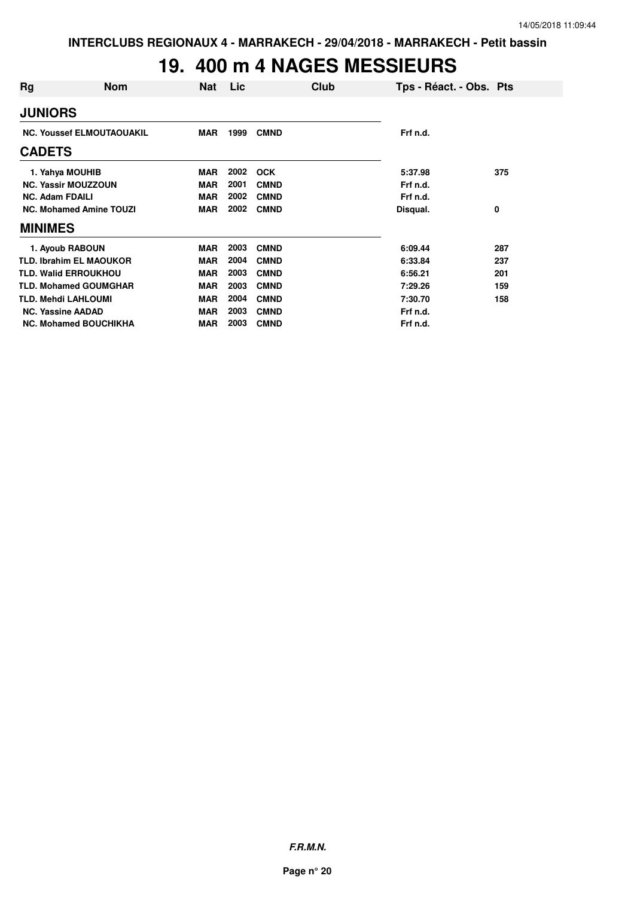# **19. 400 m 4 NAGES MESSIEURS**

| Rq                         | <b>Nom</b>                       | Nat        | Lic. |             | Club | Tps - Réact. - Obs. Pts |     |
|----------------------------|----------------------------------|------------|------|-------------|------|-------------------------|-----|
| <b>JUNIORS</b>             |                                  |            |      |             |      |                         |     |
|                            | <b>NC. Youssef ELMOUTAOUAKIL</b> | <b>MAR</b> | 1999 | <b>CMND</b> |      | Frf n.d.                |     |
| <b>CADETS</b>              |                                  |            |      |             |      |                         |     |
| 1. Yahya MOUHIB            |                                  | <b>MAR</b> | 2002 | <b>OCK</b>  |      | 5:37.98                 | 375 |
|                            | <b>NC. Yassir MOUZZOUN</b>       | <b>MAR</b> | 2001 | <b>CMND</b> |      | Frf n.d.                |     |
| <b>NC. Adam FDAILI</b>     |                                  | <b>MAR</b> | 2002 | <b>CMND</b> |      | Frf n.d.                |     |
|                            | <b>NC. Mohamed Amine TOUZI</b>   | <b>MAR</b> | 2002 | <b>CMND</b> |      | Disqual.                | 0   |
| <b>MINIMES</b>             |                                  |            |      |             |      |                         |     |
| 1. Ayoub RABOUN            |                                  | MAR        | 2003 | <b>CMND</b> |      | 6:09.44                 | 287 |
|                            | <b>TLD. Ibrahim EL MAOUKOR</b>   | <b>MAR</b> | 2004 | <b>CMND</b> |      | 6:33.84                 | 237 |
|                            | <b>TLD. Walid ERROUKHOU</b>      | <b>MAR</b> | 2003 | <b>CMND</b> |      | 6:56.21                 | 201 |
|                            | <b>TLD. Mohamed GOUMGHAR</b>     | <b>MAR</b> | 2003 | <b>CMND</b> |      | 7:29.26                 | 159 |
| <b>TLD. Mehdi LAHLOUMI</b> |                                  | <b>MAR</b> | 2004 | <b>CMND</b> |      | 7:30.70                 | 158 |
| <b>NC. Yassine AADAD</b>   |                                  | <b>MAR</b> | 2003 | <b>CMND</b> |      | Frf n.d.                |     |
|                            | <b>NC. Mohamed BOUCHIKHA</b>     | <b>MAR</b> | 2003 | <b>CMND</b> |      | Frf n.d.                |     |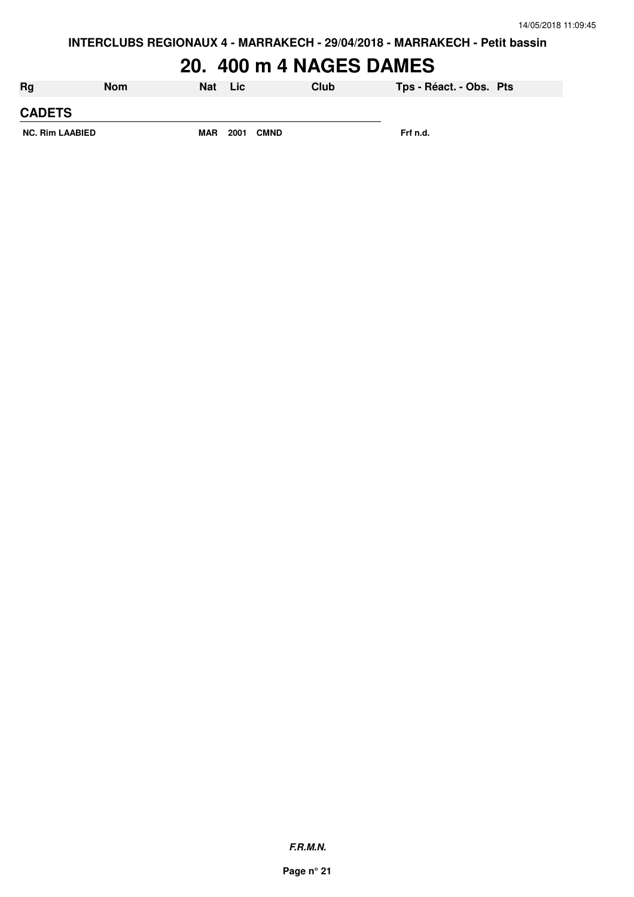# **20. 400 m 4 NAGES DAMES**

| Rg                     | <b>Nom</b> | Nat        | Lic  |             | Club | Tps - Réact. - Obs. Pts |  |
|------------------------|------------|------------|------|-------------|------|-------------------------|--|
| <b>CADETS</b>          |            |            |      |             |      |                         |  |
| <b>NC. Rim LAABIED</b> |            | <b>MAR</b> | 2001 | <b>CMND</b> |      | Frf n.d.                |  |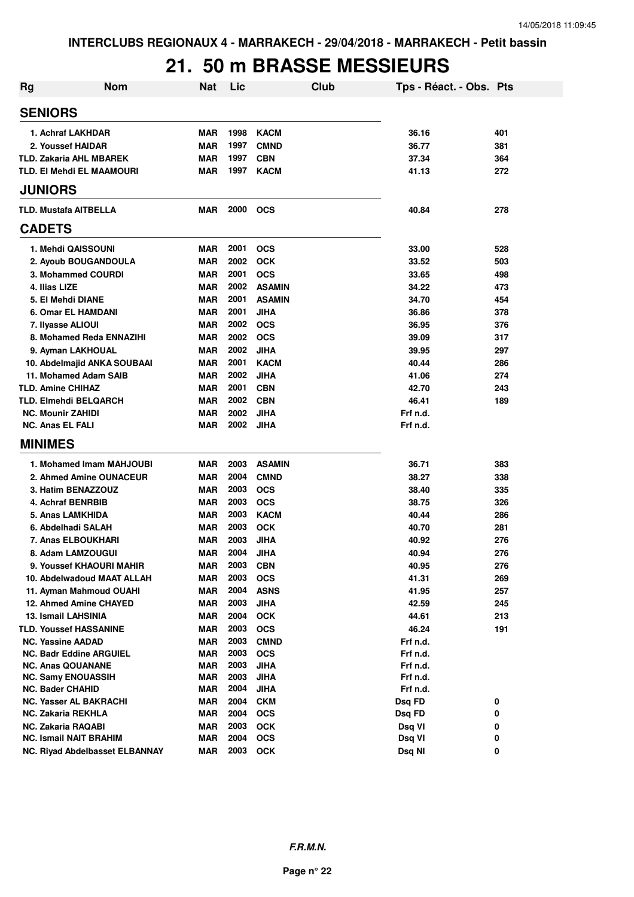#### **21. 50 m BRASSE MESSIEURS**

| <b>Rg</b>                      | <b>Nom</b>                     | <b>Nat</b> | Lic  |               | <b>Club</b> | Tps - Réact. - Obs. Pts |     |
|--------------------------------|--------------------------------|------------|------|---------------|-------------|-------------------------|-----|
| <b>SENIORS</b>                 |                                |            |      |               |             |                         |     |
| 1. Achraf LAKHDAR              |                                | <b>MAR</b> | 1998 | <b>KACM</b>   |             | 36.16                   | 401 |
| 2. Youssef HAIDAR              |                                | <b>MAR</b> | 1997 | <b>CMND</b>   |             | 36.77                   | 381 |
| <b>TLD. Zakaria AHL MBAREK</b> |                                | <b>MAR</b> | 1997 | <b>CBN</b>    |             | 37.34                   | 364 |
| TLD. EI Mehdi EL MAAMOURI      |                                | MAR        | 1997 | <b>KACM</b>   |             | 41.13                   | 272 |
| <b>JUNIORS</b>                 |                                |            |      |               |             |                         |     |
| <b>TLD. Mustafa AITBELLA</b>   |                                | <b>MAR</b> | 2000 | <b>OCS</b>    |             | 40.84                   | 278 |
| <b>CADETS</b>                  |                                |            |      |               |             |                         |     |
| 1. Mehdi QAISSOUNI             |                                | <b>MAR</b> | 2001 | <b>OCS</b>    |             | 33.00                   | 528 |
| 2. Ayoub BOUGANDOULA           |                                | <b>MAR</b> | 2002 | <b>OCK</b>    |             | 33.52                   | 503 |
| 3. Mohammed COURDI             |                                | MAR        | 2001 | <b>OCS</b>    |             | 33.65                   | 498 |
| 4. Ilias LIZE                  |                                | <b>MAR</b> | 2002 | <b>ASAMIN</b> |             | 34.22                   | 473 |
| 5. El Mehdi DIANE              |                                | <b>MAR</b> | 2001 | <b>ASAMIN</b> |             | 34.70                   | 454 |
| 6. Omar EL HAMDANI             |                                | MAR        | 2001 | <b>JIHA</b>   |             | 36.86                   | 378 |
| 7. Ilyasse ALIOUI              |                                | <b>MAR</b> | 2002 | <b>OCS</b>    |             | 36.95                   | 376 |
|                                | 8. Mohamed Reda ENNAZIHI       | MAR        | 2002 | <b>OCS</b>    |             | 39.09                   | 317 |
| 9. Ayman LAKHOUAL              |                                | MAR        | 2002 | <b>JIHA</b>   |             | 39.95                   | 297 |
|                                | 10. Abdelmajid ANKA SOUBAAI    | MAR        | 2001 | <b>KACM</b>   |             | 40.44                   | 286 |
| 11. Mohamed Adam SAIB          |                                | <b>MAR</b> | 2002 | <b>JIHA</b>   |             | 41.06                   | 274 |
| <b>TLD. Amine CHIHAZ</b>       |                                | <b>MAR</b> | 2001 | <b>CBN</b>    |             | 42.70                   | 243 |
| <b>TLD. Elmehdi BELQARCH</b>   |                                | <b>MAR</b> | 2002 | <b>CBN</b>    |             | 46.41                   | 189 |
| <b>NC. Mounir ZAHIDI</b>       |                                | <b>MAR</b> | 2002 | <b>JIHA</b>   |             | Frf n.d.                |     |
| <b>NC. Anas EL FALI</b>        |                                | MAR        | 2002 | <b>JIHA</b>   |             | Frf n.d.                |     |
| <b>MINIMES</b>                 |                                |            |      |               |             |                         |     |
|                                | 1. Mohamed Imam MAHJOUBI       | <b>MAR</b> | 2003 | <b>ASAMIN</b> |             | 36.71                   | 383 |
|                                | 2. Ahmed Amine OUNACEUR        | <b>MAR</b> | 2004 | <b>CMND</b>   |             | 38.27                   | 338 |
| 3. Hatim BENAZZOUZ             |                                | <b>MAR</b> | 2003 | <b>OCS</b>    |             | 38.40                   | 335 |
| 4. Achraf BENRBIB              |                                | <b>MAR</b> | 2003 | <b>OCS</b>    |             | 38.75                   | 326 |
| 5. Anas LAMKHIDA               |                                | <b>MAR</b> | 2003 | <b>KACM</b>   |             | 40.44                   | 286 |
| 6. Abdelhadi SALAH             |                                | <b>MAR</b> | 2003 | <b>OCK</b>    |             | 40.70                   | 281 |
| 7. Anas ELBOUKHARI             |                                | <b>MAR</b> | 2003 | <b>JIHA</b>   |             | 40.92                   | 276 |
| 8. Adam LAMZOUGUI              |                                | <b>MAR</b> | 2004 | <b>JIHA</b>   |             | 40.94                   | 276 |
| 9. Youssef KHAOURI MAHIR       |                                | MAR        | 2003 | <b>CBN</b>    |             | 40.95                   | 276 |
|                                | 10. Abdelwadoud MAAT ALLAH     | <b>MAR</b> | 2003 | <b>OCS</b>    |             | 41.31                   | 269 |
| 11. Ayman Mahmoud OUAHI        |                                | MAR        | 2004 | <b>ASNS</b>   |             | 41.95                   | 257 |
| 12. Ahmed Amine CHAYED         |                                | <b>MAR</b> | 2003 | <b>JIHA</b>   |             | 42.59                   | 245 |
| <b>13. Ismail LAHSINIA</b>     |                                | <b>MAR</b> | 2004 | <b>OCK</b>    |             | 44.61                   | 213 |
| <b>TLD. Youssef HASSANINE</b>  |                                | <b>MAR</b> | 2003 | <b>OCS</b>    |             | 46.24                   | 191 |
| <b>NC. Yassine AADAD</b>       |                                | <b>MAR</b> | 2003 | <b>CMND</b>   |             | Frf n.d.                |     |
| <b>NC. Badr Eddine ARGUIEL</b> |                                | <b>MAR</b> | 2003 | <b>OCS</b>    |             | Frf n.d.                |     |
| <b>NC. Anas QOUANANE</b>       |                                | <b>MAR</b> | 2003 | <b>JIHA</b>   |             | Frf n.d.                |     |
| <b>NC. Samy ENOUASSIH</b>      |                                | MAR        | 2003 | <b>JIHA</b>   |             | Frf n.d.                |     |
| NC. Bader CHAHID               |                                | <b>MAR</b> | 2004 | <b>JIHA</b>   |             | Frf n.d.                |     |
| NC. Yasser AL BAKRACHI         |                                | MAR        | 2004 | <b>CKM</b>    |             | Dsq FD                  | 0   |
| NC. Zakaria REKHLA             |                                | <b>MAR</b> | 2004 | <b>OCS</b>    |             | Dsq FD                  | 0   |
| NC. Zakaria RAQABI             |                                | <b>MAR</b> | 2003 | <b>OCK</b>    |             | Dsq VI                  | 0   |
| <b>NC. Ismail NAIT BRAHIM</b>  |                                | <b>MAR</b> | 2004 | <b>OCS</b>    |             | Dsq VI                  | 0   |
|                                | NC. Riyad Abdelbasset ELBANNAY | <b>MAR</b> | 2003 | <b>OCK</b>    |             | Dsq NI                  | 0   |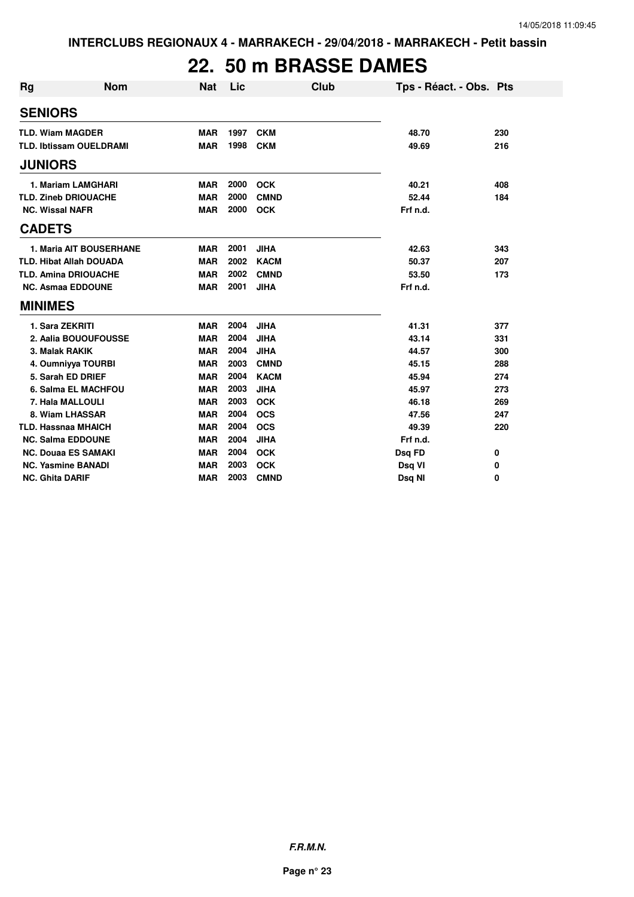# **22. 50 m BRASSE DAMES**

| <b>Rg</b>              | <b>Nom</b>                     | <b>Nat</b> | Lic  | <b>Club</b> | Tps - Réact. - Obs. Pts |     |
|------------------------|--------------------------------|------------|------|-------------|-------------------------|-----|
| <b>SENIORS</b>         |                                |            |      |             |                         |     |
|                        | <b>TLD. Wiam MAGDER</b>        | <b>MAR</b> | 1997 | <b>CKM</b>  | 48.70                   | 230 |
|                        | <b>TLD. Ibtissam OUELDRAMI</b> | <b>MAR</b> | 1998 | <b>CKM</b>  | 49.69                   | 216 |
| <b>JUNIORS</b>         |                                |            |      |             |                         |     |
|                        | 1. Mariam LAMGHARI             | <b>MAR</b> | 2000 | <b>OCK</b>  | 40.21                   | 408 |
|                        | <b>TLD. Zineb DRIOUACHE</b>    | <b>MAR</b> | 2000 | <b>CMND</b> | 52.44                   | 184 |
| <b>NC. Wissal NAFR</b> |                                | <b>MAR</b> | 2000 | <b>OCK</b>  | Frf n.d.                |     |
| <b>CADETS</b>          |                                |            |      |             |                         |     |
|                        | 1. Maria AIT BOUSERHANE        | <b>MAR</b> | 2001 | <b>JIHA</b> | 42.63                   | 343 |
|                        | <b>TLD. Hibat Allah DOUADA</b> | <b>MAR</b> | 2002 | <b>KACM</b> | 50.37                   | 207 |
|                        | <b>TLD. Amina DRIOUACHE</b>    | <b>MAR</b> | 2002 | <b>CMND</b> | 53.50                   | 173 |
|                        | <b>NC. Asmaa EDDOUNE</b>       | <b>MAR</b> | 2001 | <b>JIHA</b> | Frf n.d.                |     |
| <b>MINIMES</b>         |                                |            |      |             |                         |     |
|                        | 1. Sara ZEKRITI                | <b>MAR</b> | 2004 | <b>JIHA</b> | 41.31                   | 377 |
|                        | 2. Aalia BOUOUFOUSSE           | <b>MAR</b> | 2004 | <b>JIHA</b> | 43.14                   | 331 |
|                        | 3. Malak RAKIK                 | <b>MAR</b> | 2004 | <b>JIHA</b> | 44.57                   | 300 |
|                        | 4. Oumniyya TOURBI             | <b>MAR</b> | 2003 | <b>CMND</b> | 45.15                   | 288 |
|                        | 5. Sarah ED DRIEF              | <b>MAR</b> | 2004 | <b>KACM</b> | 45.94                   | 274 |
|                        | 6. Salma EL MACHFOU            | <b>MAR</b> | 2003 | <b>JIHA</b> | 45.97                   | 273 |
|                        | 7. Hala MALLOULI               | <b>MAR</b> | 2003 | <b>OCK</b>  | 46.18                   | 269 |
|                        | 8. Wiam LHASSAR                | <b>MAR</b> | 2004 | <b>OCS</b>  | 47.56                   | 247 |
|                        | <b>TLD. Hassnaa MHAICH</b>     | <b>MAR</b> | 2004 | <b>OCS</b>  | 49.39                   | 220 |
|                        | <b>NC. Salma EDDOUNE</b>       | <b>MAR</b> | 2004 | <b>JIHA</b> | Frf n.d.                |     |
|                        | <b>NC. Douaa ES SAMAKI</b>     | <b>MAR</b> | 2004 | <b>OCK</b>  | Dsq FD                  | 0   |
|                        | <b>NC. Yasmine BANADI</b>      | <b>MAR</b> | 2003 | <b>OCK</b>  | Dsq VI                  | 0   |
| <b>NC. Ghita DARIF</b> |                                | <b>MAR</b> | 2003 | <b>CMND</b> | Dsq NI                  | 0   |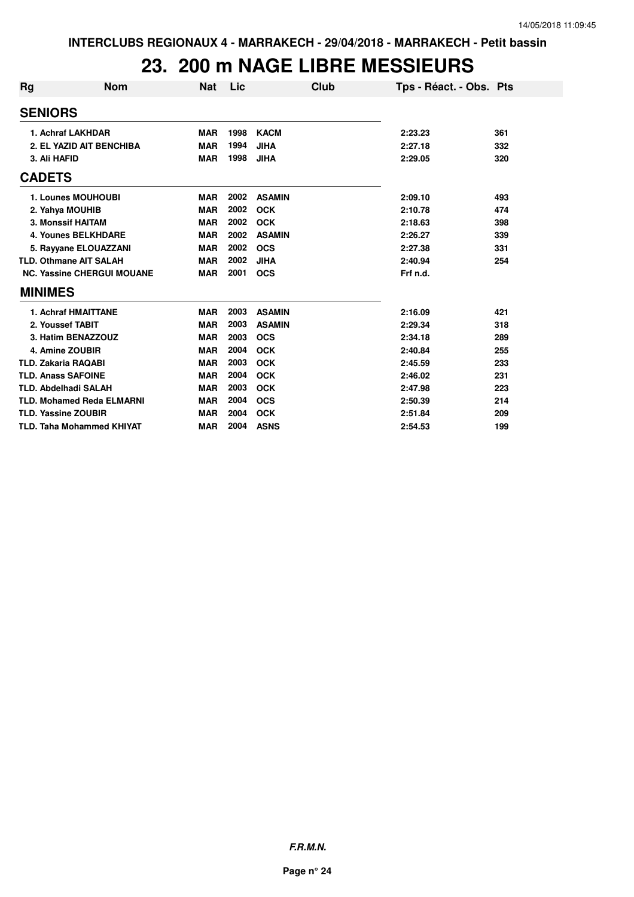### **23. 200 m NAGE LIBRE MESSIEURS**

| Rg             | <b>Nom</b>                        | Nat        | Lic  | Club          | Tps - Réact. - Obs. Pts |     |
|----------------|-----------------------------------|------------|------|---------------|-------------------------|-----|
|                | <b>SENIORS</b>                    |            |      |               |                         |     |
|                | 1. Achraf LAKHDAR                 | <b>MAR</b> | 1998 | <b>KACM</b>   | 2:23.23                 | 361 |
|                | 2. EL YAZID AIT BENCHIBA          | <b>MAR</b> | 1994 | <b>JIHA</b>   | 2:27.18                 | 332 |
|                | 3. Ali HAFID                      | <b>MAR</b> | 1998 | <b>JIHA</b>   | 2:29.05                 | 320 |
| <b>CADETS</b>  |                                   |            |      |               |                         |     |
|                | 1. Lounes MOUHOUBI                | <b>MAR</b> | 2002 | <b>ASAMIN</b> | 2:09.10                 | 493 |
|                | 2. Yahya MOUHIB                   | <b>MAR</b> | 2002 | <b>OCK</b>    | 2:10.78                 | 474 |
|                | 3. Monssif HAITAM                 | <b>MAR</b> | 2002 | <b>OCK</b>    | 2:18.63                 | 398 |
|                | <b>4. Younes BELKHDARE</b>        | <b>MAR</b> | 2002 | <b>ASAMIN</b> | 2:26.27                 | 339 |
|                | 5. Rayyane ELOUAZZANI             | <b>MAR</b> | 2002 | <b>OCS</b>    | 2:27.38                 | 331 |
|                | <b>TLD. Othmane AIT SALAH</b>     | <b>MAR</b> | 2002 | <b>JIHA</b>   | 2:40.94                 | 254 |
|                | <b>NC. Yassine CHERGUI MOUANE</b> | <b>MAR</b> | 2001 | <b>OCS</b>    | Frf n.d.                |     |
| <b>MINIMES</b> |                                   |            |      |               |                         |     |
|                | <b>1. Achraf HMAITTANE</b>        | <b>MAR</b> | 2003 | <b>ASAMIN</b> | 2:16.09                 | 421 |
|                | 2. Youssef TABIT                  | <b>MAR</b> | 2003 | <b>ASAMIN</b> | 2:29.34                 | 318 |
|                | 3. Hatim BENAZZOUZ                | <b>MAR</b> | 2003 | <b>OCS</b>    | 2:34.18                 | 289 |
|                | 4. Amine ZOUBIR                   | <b>MAR</b> | 2004 | <b>OCK</b>    | 2:40.84                 | 255 |
|                | <b>TLD. Zakaria RAQABI</b>        | <b>MAR</b> | 2003 | <b>OCK</b>    | 2:45.59                 | 233 |
|                | <b>TLD. Anass SAFOINE</b>         | <b>MAR</b> | 2004 | <b>OCK</b>    | 2:46.02                 | 231 |
|                | <b>TLD. Abdelhadi SALAH</b>       | <b>MAR</b> | 2003 | <b>OCK</b>    | 2:47.98                 | 223 |
|                | <b>TLD. Mohamed Reda ELMARNI</b>  | <b>MAR</b> | 2004 | <b>OCS</b>    | 2:50.39                 | 214 |
|                | <b>TLD. Yassine ZOUBIR</b>        | <b>MAR</b> | 2004 | <b>OCK</b>    | 2:51.84                 | 209 |
|                | <b>TLD. Taha Mohammed KHIYAT</b>  | <b>MAR</b> | 2004 | <b>ASNS</b>   | 2:54.53                 | 199 |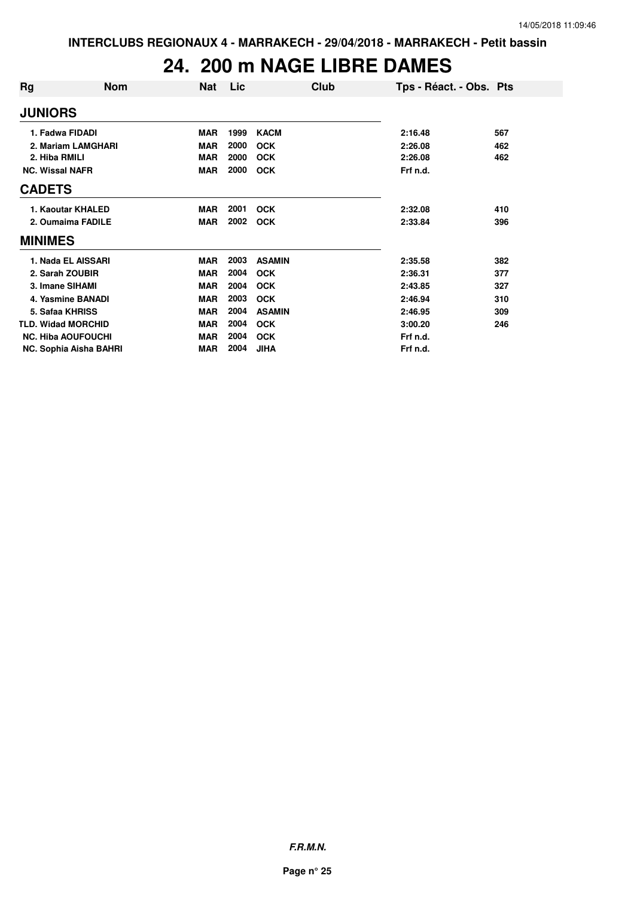#### **24. 200 m NAGE LIBRE DAMES**

| Rq                     | <b>Nom</b>                | <b>Nat</b> | Lic  | Club          | Tps - Réact. - Obs. Pts |     |
|------------------------|---------------------------|------------|------|---------------|-------------------------|-----|
| <b>JUNIORS</b>         |                           |            |      |               |                         |     |
|                        | 1. Fadwa FIDADI           | <b>MAR</b> | 1999 | <b>KACM</b>   | 2:16.48                 | 567 |
|                        | 2. Mariam LAMGHARI        | <b>MAR</b> | 2000 | <b>OCK</b>    | 2:26.08                 | 462 |
| 2. Hiba RMILI          |                           | <b>MAR</b> | 2000 | <b>OCK</b>    | 2:26.08                 | 462 |
| <b>NC. Wissal NAFR</b> |                           | <b>MAR</b> | 2000 | <b>OCK</b>    | Frf n.d.                |     |
| <b>CADETS</b>          |                           |            |      |               |                         |     |
|                        | 1. Kaoutar KHALED         | <b>MAR</b> | 2001 | <b>OCK</b>    | 2:32.08                 | 410 |
|                        | 2. Oumaima FADILE         | <b>MAR</b> | 2002 | <b>OCK</b>    | 2:33.84                 | 396 |
| <b>MINIMES</b>         |                           |            |      |               |                         |     |
|                        | 1. Nada EL AISSARI        | <b>MAR</b> | 2003 | <b>ASAMIN</b> | 2:35.58                 | 382 |
|                        | 2. Sarah ZOUBIR           | <b>MAR</b> | 2004 | <b>OCK</b>    | 2:36.31                 | 377 |
|                        | 3. Imane SIHAMI           | <b>MAR</b> | 2004 | <b>OCK</b>    | 2:43.85                 | 327 |
|                        | 4. Yasmine BANADI         | <b>MAR</b> | 2003 | <b>OCK</b>    | 2:46.94                 | 310 |
|                        | 5. Safaa KHRISS           | <b>MAR</b> | 2004 | <b>ASAMIN</b> | 2:46.95                 | 309 |
|                        | <b>TLD. Widad MORCHID</b> | <b>MAR</b> | 2004 | <b>OCK</b>    | 3:00.20                 | 246 |
|                        | <b>NC. Hiba AOUFOUCHI</b> | <b>MAR</b> | 2004 | <b>OCK</b>    | Frf n.d.                |     |
|                        | NC. Sophia Aisha BAHRI    | <b>MAR</b> | 2004 | <b>JIHA</b>   | Frf n.d.                |     |
|                        |                           |            |      |               |                         |     |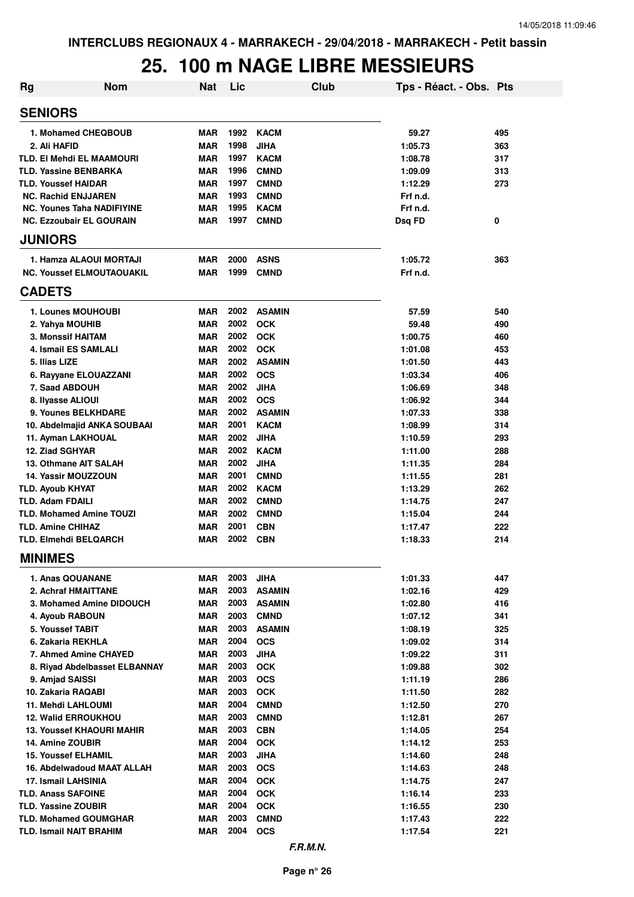# **25. 100 m NAGE LIBRE MESSIEURS**

| Rg | <b>Nom</b>                        | <b>Nat</b> | Lic  | Club          | Tps - Réact. - Obs. Pts |     |
|----|-----------------------------------|------------|------|---------------|-------------------------|-----|
|    | <b>SENIORS</b>                    |            |      |               |                         |     |
|    | 1. Mohamed CHEQBOUB               | <b>MAR</b> | 1992 | KACM          | 59.27                   | 495 |
|    | 2. Ali HAFID                      | <b>MAR</b> | 1998 | <b>JIHA</b>   | 1:05.73                 | 363 |
|    | <b>TLD. EI Mehdi EL MAAMOURI</b>  | <b>MAR</b> | 1997 | <b>KACM</b>   | 1:08.78                 | 317 |
|    | <b>TLD. Yassine BENBARKA</b>      | <b>MAR</b> | 1996 | <b>CMND</b>   | 1:09.09                 | 313 |
|    | <b>TLD. Youssef HAIDAR</b>        | <b>MAR</b> | 1997 | <b>CMND</b>   | 1:12.29                 | 273 |
|    | <b>NC. Rachid ENJJAREN</b>        | <b>MAR</b> | 1993 | <b>CMND</b>   | Frf n.d.                |     |
|    | <b>NC. Younes Taha NADIFIYINE</b> | <b>MAR</b> | 1995 | <b>KACM</b>   | Frf n.d.                |     |
|    | <b>NC. Ezzoubair EL GOURAIN</b>   | <b>MAR</b> | 1997 | <b>CMND</b>   | Dsq FD                  | 0   |
|    | <b>JUNIORS</b>                    |            |      |               |                         |     |
|    | 1. Hamza ALAOUI MORTAJI           | <b>MAR</b> | 2000 | <b>ASNS</b>   | 1:05.72                 | 363 |
|    | <b>NC. Youssef ELMOUTAOUAKIL</b>  | <b>MAR</b> | 1999 | <b>CMND</b>   | Frf n.d.                |     |
|    | <b>CADETS</b>                     |            |      |               |                         |     |
|    | 1. Lounes MOUHOUBI                | <b>MAR</b> | 2002 | <b>ASAMIN</b> | 57.59                   | 540 |
|    | 2. Yahya MOUHIB                   | <b>MAR</b> | 2002 | <b>OCK</b>    | 59.48                   | 490 |
|    | 3. Monssif HAITAM                 | <b>MAR</b> | 2002 | <b>OCK</b>    | 1:00.75                 | 460 |
|    | 4. Ismail ES SAMLALI              | <b>MAR</b> | 2002 | <b>OCK</b>    | 1:01.08                 | 453 |
|    | 5. Ilias LIZE                     | <b>MAR</b> | 2002 | <b>ASAMIN</b> | 1:01.50                 | 443 |
|    | 6. Rayyane ELOUAZZANI             | <b>MAR</b> | 2002 | <b>OCS</b>    | 1:03.34                 | 406 |
|    | 7. Saad ABDOUH                    | <b>MAR</b> | 2002 | <b>JIHA</b>   | 1:06.69                 | 348 |
|    | 8. Ilyasse ALIOUI                 | <b>MAR</b> | 2002 | <b>OCS</b>    | 1:06.92                 | 344 |
|    | 9. Younes BELKHDARE               | <b>MAR</b> | 2002 | <b>ASAMIN</b> | 1:07.33                 | 338 |
|    | 10. Abdelmajid ANKA SOUBAAI       | <b>MAR</b> | 2001 | <b>KACM</b>   | 1:08.99                 | 314 |
|    | 11. Ayman LAKHOUAL                | <b>MAR</b> | 2002 | <b>JIHA</b>   | 1:10.59                 | 293 |
|    | 12. Ziad SGHYAR                   | <b>MAR</b> |      | 2002 KACM     | 1:11.00                 | 288 |
|    | 13. Othmane AIT SALAH             | <b>MAR</b> | 2002 | <b>JIHA</b>   | 1:11.35                 | 284 |
|    | 14. Yassir MOUZZOUN               | <b>MAR</b> | 2001 | <b>CMND</b>   | 1:11.55                 | 281 |
|    | <b>TLD. Ayoub KHYAT</b>           | <b>MAR</b> | 2002 | KACM          | 1:13.29                 | 262 |
|    | <b>TLD. Adam FDAILI</b>           | <b>MAR</b> | 2002 | <b>CMND</b>   | 1:14.75                 | 247 |
|    | <b>TLD. Mohamed Amine TOUZI</b>   | <b>MAR</b> | 2002 | <b>CMND</b>   | 1:15.04                 | 244 |
|    | <b>TLD. Amine CHIHAZ</b>          | <b>MAR</b> | 2001 | <b>CBN</b>    | 1:17.47                 | 222 |
|    | <b>TLD. Elmehdi BELQARCH</b>      | <b>MAR</b> | 2002 | <b>CBN</b>    | 1:18.33                 | 214 |
|    | <b>MINIMES</b>                    |            |      |               |                         |     |
|    | 1. Anas QOUANANE                  | <b>MAR</b> | 2003 | <b>JIHA</b>   | 1:01.33                 | 447 |
|    | 2. Achraf HMAITTANE               | <b>MAR</b> | 2003 | <b>ASAMIN</b> | 1:02.16                 | 429 |
|    | 3. Mohamed Amine DIDOUCH          | <b>MAR</b> | 2003 | <b>ASAMIN</b> | 1:02.80                 | 416 |
|    | 4. Ayoub RABOUN                   | <b>MAR</b> | 2003 | <b>CMND</b>   | 1:07.12                 | 341 |
|    | 5. Youssef TABIT                  | <b>MAR</b> | 2003 | <b>ASAMIN</b> | 1:08.19                 | 325 |
|    | 6. Zakaria REKHLA                 | <b>MAR</b> | 2004 | <b>OCS</b>    | 1:09.02                 | 314 |
|    | 7. Ahmed Amine CHAYED             | <b>MAR</b> | 2003 | <b>JIHA</b>   | 1:09.22                 | 311 |
|    | 8. Rivad Abdelbasset ELBANNAY     | <b>MAR</b> | 2003 | <b>OCK</b>    | 1:09.88                 | 302 |
|    | 9. Amjad SAISSI                   | <b>MAR</b> | 2003 | <b>OCS</b>    | 1:11.19                 | 286 |
|    | 10. Zakaria RAQABI                | <b>MAR</b> | 2003 | <b>OCK</b>    | 1:11.50                 | 282 |
|    | 11. Mehdi LAHLOUMI                | <b>MAR</b> | 2004 | <b>CMND</b>   | 1:12.50                 | 270 |
|    | <b>12. Walid ERROUKHOU</b>        | <b>MAR</b> | 2003 | <b>CMND</b>   | 1:12.81                 | 267 |
|    | <b>13. Youssef KHAOURI MAHIR</b>  | <b>MAR</b> | 2003 | <b>CBN</b>    | 1:14.05                 | 254 |
|    | 14. Amine ZOUBIR                  | <b>MAR</b> | 2004 | <b>OCK</b>    | 1:14.12                 | 253 |
|    | <b>15. Youssef ELHAMIL</b>        | <b>MAR</b> | 2003 | <b>JIHA</b>   | 1:14.60                 | 248 |
|    | 16. Abdelwadoud MAAT ALLAH        | <b>MAR</b> | 2003 | <b>OCS</b>    | 1:14.63                 | 248 |
|    | 17. Ismail LAHSINIA               | <b>MAR</b> | 2004 | <b>OCK</b>    | 1:14.75                 | 247 |
|    | <b>TLD. Anass SAFOINE</b>         | <b>MAR</b> | 2004 | <b>OCK</b>    | 1:16.14                 | 233 |
|    | <b>TLD. Yassine ZOUBIR</b>        | <b>MAR</b> | 2004 | <b>OCK</b>    | 1:16.55                 | 230 |
|    | <b>TLD. Mohamed GOUMGHAR</b>      | <b>MAR</b> | 2003 | <b>CMND</b>   | 1:17.43                 | 222 |
|    | <b>TLD. Ismail NAIT BRAHIM</b>    | <b>MAR</b> | 2004 | <b>OCS</b>    | 1:17.54                 | 221 |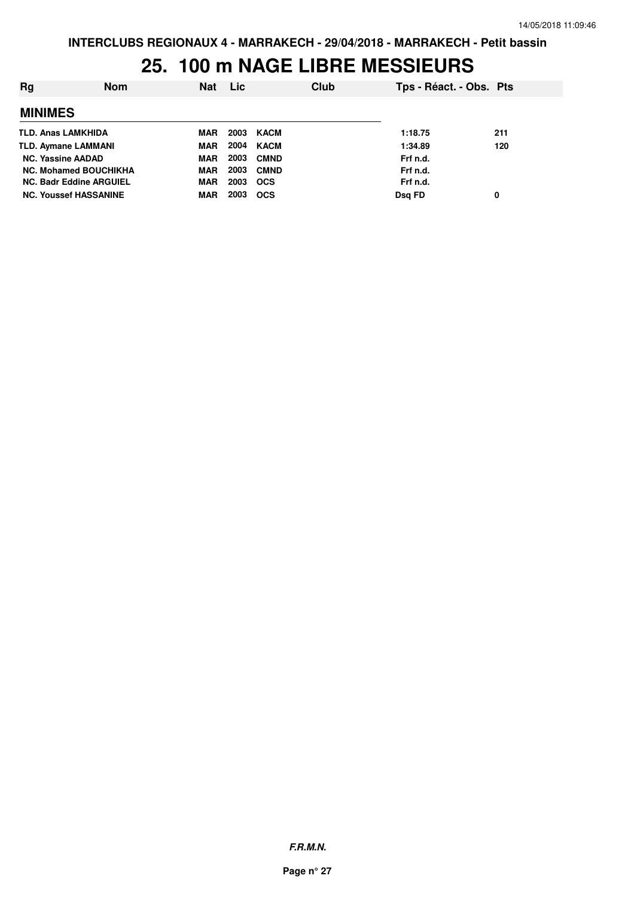#### **25. 100 m NAGE LIBRE MESSIEURS**

| Rg                             | <b>Nom</b> | Nat        | Lic  |             | Club | Tps - Réact. - Obs. Pts |     |
|--------------------------------|------------|------------|------|-------------|------|-------------------------|-----|
| <b>MINIMES</b>                 |            |            |      |             |      |                         |     |
| <b>TLD. Anas LAMKHIDA</b>      |            | MAR        | 2003 | KACM        |      | 1:18.75                 | 211 |
| <b>TLD. Aymane LAMMANI</b>     |            | <b>MAR</b> | 2004 | KACM        |      | 1:34.89                 | 120 |
| <b>NC. Yassine AADAD</b>       |            | <b>MAR</b> | 2003 | <b>CMND</b> |      | Frf n.d.                |     |
| <b>NC. Mohamed BOUCHIKHA</b>   |            | <b>MAR</b> | 2003 | <b>CMND</b> |      | Frf n.d.                |     |
| <b>NC. Badr Eddine ARGUIEL</b> |            | <b>MAR</b> | 2003 | <b>OCS</b>  |      | Frf n.d.                |     |
| <b>NC. Youssef HASSANINE</b>   |            | MAR        | 2003 | <b>OCS</b>  |      | Dsg FD                  | 0   |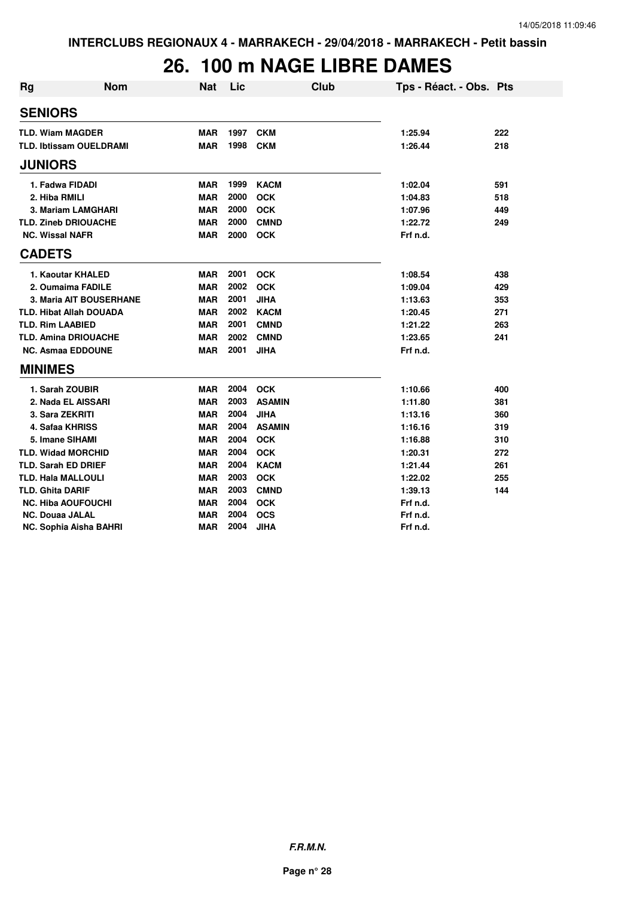### **26. 100 m NAGE LIBRE DAMES**

| <b>Rg</b> | <b>Nom</b>                     | <b>Nat</b> | Lic  | Club          | Tps - Réact. - Obs. Pts |     |
|-----------|--------------------------------|------------|------|---------------|-------------------------|-----|
|           | <b>SENIORS</b>                 |            |      |               |                         |     |
|           | <b>TLD. Wiam MAGDER</b>        | <b>MAR</b> | 1997 | <b>CKM</b>    | 1:25.94                 | 222 |
|           | <b>TLD. Ibtissam OUELDRAMI</b> | <b>MAR</b> | 1998 | <b>CKM</b>    | 1:26.44                 | 218 |
|           | <b>JUNIORS</b>                 |            |      |               |                         |     |
|           | 1. Fadwa FIDADI                | <b>MAR</b> | 1999 | <b>KACM</b>   | 1:02.04                 | 591 |
|           | 2. Hiba RMILI                  | <b>MAR</b> | 2000 | <b>OCK</b>    | 1:04.83                 | 518 |
|           | 3. Mariam LAMGHARI             | <b>MAR</b> | 2000 | <b>OCK</b>    | 1:07.96                 | 449 |
|           | <b>TLD. Zineb DRIOUACHE</b>    | <b>MAR</b> | 2000 | <b>CMND</b>   | 1:22.72                 | 249 |
|           | <b>NC. Wissal NAFR</b>         | <b>MAR</b> | 2000 | <b>OCK</b>    | Frf n.d.                |     |
|           | <b>CADETS</b>                  |            |      |               |                         |     |
|           | 1. Kaoutar KHALED              | <b>MAR</b> | 2001 | <b>OCK</b>    | 1:08.54                 | 438 |
|           | 2. Oumaima FADILE              | <b>MAR</b> | 2002 | <b>OCK</b>    | 1:09.04                 | 429 |
|           | 3. Maria AIT BOUSERHANE        | <b>MAR</b> | 2001 | <b>JIHA</b>   | 1:13.63                 | 353 |
|           | <b>TLD. Hibat Allah DOUADA</b> | <b>MAR</b> | 2002 | <b>KACM</b>   | 1:20.45                 | 271 |
|           | <b>TLD. Rim LAABIED</b>        | <b>MAR</b> | 2001 | <b>CMND</b>   | 1:21.22                 | 263 |
|           | <b>TLD. Amina DRIOUACHE</b>    | <b>MAR</b> | 2002 | <b>CMND</b>   | 1:23.65                 | 241 |
|           | <b>NC. Asmaa EDDOUNE</b>       | <b>MAR</b> | 2001 | <b>JIHA</b>   | Frf n.d.                |     |
|           | <b>MINIMES</b>                 |            |      |               |                         |     |
|           | 1. Sarah ZOUBIR                | <b>MAR</b> | 2004 | <b>OCK</b>    | 1:10.66                 | 400 |
|           | 2. Nada EL AISSARI             | <b>MAR</b> | 2003 | <b>ASAMIN</b> | 1:11.80                 | 381 |
|           | 3. Sara ZEKRITI                | <b>MAR</b> | 2004 | <b>JIHA</b>   | 1:13.16                 | 360 |
|           | 4. Safaa KHRISS                | <b>MAR</b> | 2004 | <b>ASAMIN</b> | 1:16.16                 | 319 |
|           | 5. Imane SIHAMI                | <b>MAR</b> | 2004 | <b>OCK</b>    | 1:16.88                 | 310 |
|           | <b>TLD. Widad MORCHID</b>      | <b>MAR</b> | 2004 | <b>OCK</b>    | 1:20.31                 | 272 |
|           | <b>TLD. Sarah ED DRIEF</b>     | <b>MAR</b> | 2004 | <b>KACM</b>   | 1:21.44                 | 261 |
|           | <b>TLD. Hala MALLOULI</b>      | <b>MAR</b> | 2003 | <b>OCK</b>    | 1:22.02                 | 255 |
|           | <b>TLD. Ghita DARIF</b>        | <b>MAR</b> | 2003 | <b>CMND</b>   | 1:39.13                 | 144 |
|           | <b>NC. Hiba AOUFOUCHI</b>      | <b>MAR</b> | 2004 | <b>OCK</b>    | Frf n.d.                |     |
|           | <b>NC. Douaa JALAL</b>         | <b>MAR</b> | 2004 | <b>OCS</b>    | Frf n.d.                |     |
|           | <b>NC. Sophia Aisha BAHRI</b>  | <b>MAR</b> | 2004 | <b>JIHA</b>   | Frf n.d.                |     |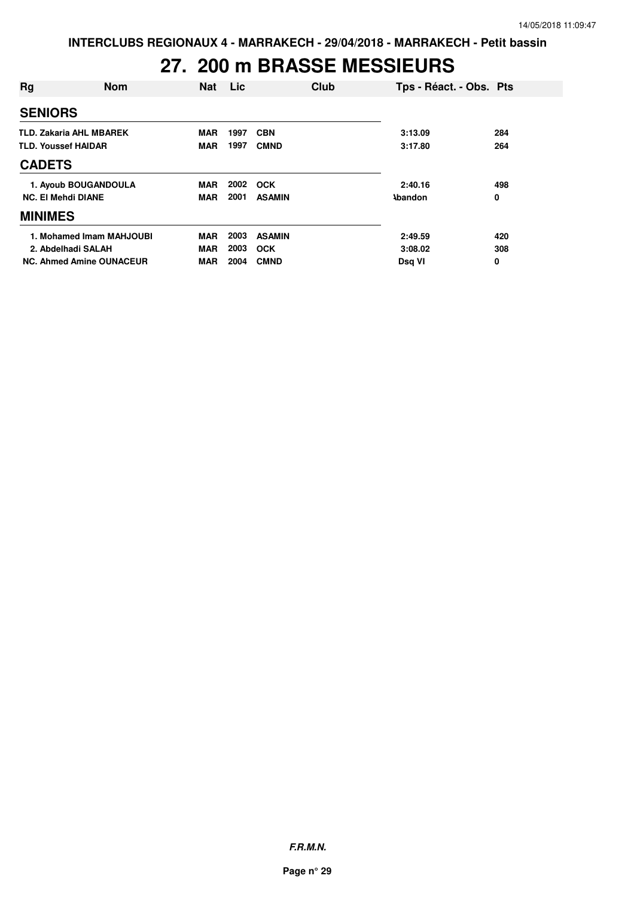### **27. 200 m BRASSE MESSIEURS**

| Rg                         | <b>Nom</b>                      | <b>Nat</b> | Lic  | Club          | Tps - Réact. - Obs. Pts |     |
|----------------------------|---------------------------------|------------|------|---------------|-------------------------|-----|
| <b>SENIORS</b>             |                                 |            |      |               |                         |     |
|                            | <b>TLD. Zakaria AHL MBAREK</b>  | <b>MAR</b> | 1997 | <b>CBN</b>    | 3:13.09                 | 284 |
| <b>TLD. Youssef HAIDAR</b> |                                 | <b>MAR</b> | 1997 | <b>CMND</b>   | 3:17.80                 | 264 |
| <b>CADETS</b>              |                                 |            |      |               |                         |     |
|                            | 1. Ayoub BOUGANDOULA            | <b>MAR</b> | 2002 | <b>OCK</b>    | 2:40.16                 | 498 |
| <b>NC. El Mehdi DIANE</b>  |                                 | <b>MAR</b> | 2001 | <b>ASAMIN</b> | <b>Abandon</b>          | 0   |
| <b>MINIMES</b>             |                                 |            |      |               |                         |     |
|                            | 1. Mohamed Imam MAHJOUBI        | <b>MAR</b> | 2003 | <b>ASAMIN</b> | 2:49.59                 | 420 |
|                            | 2. Abdelhadi SALAH              | <b>MAR</b> | 2003 | <b>OCK</b>    | 3:08.02                 | 308 |
|                            | <b>NC. Ahmed Amine OUNACEUR</b> | <b>MAR</b> | 2004 | <b>CMND</b>   | Dsq VI                  | 0   |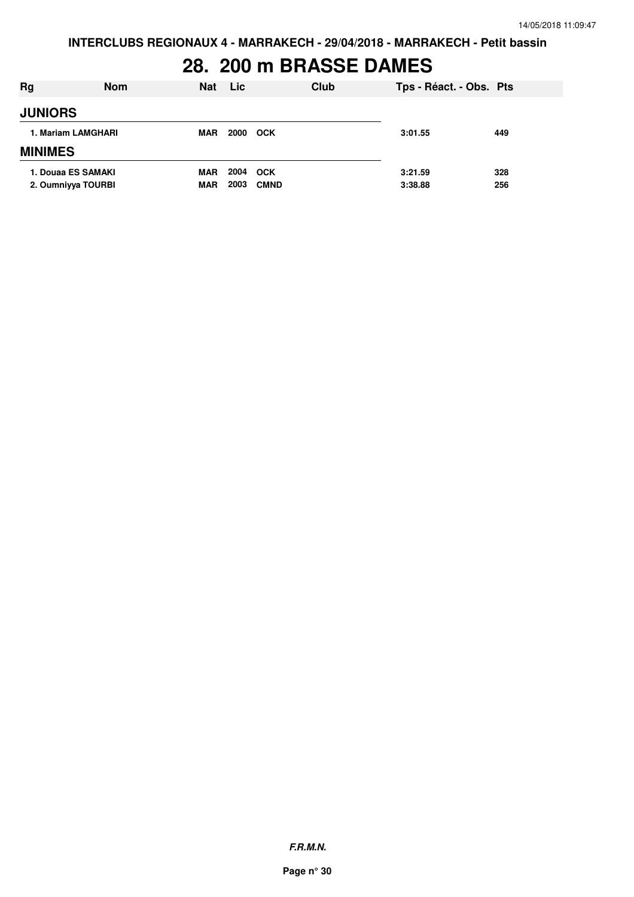# **28. 200 m BRASSE DAMES**

| Rg                                       | <b>Nom</b> | <b>Nat</b>        | <b>Lic</b>   | Club                      | Tps - Réact. - Obs. Pts |            |
|------------------------------------------|------------|-------------------|--------------|---------------------------|-------------------------|------------|
| <b>JUNIORS</b>                           |            |                   |              |                           |                         |            |
| 1. Mariam LAMGHARI                       |            | MAR               | 2000 OCK     |                           | 3:01.55                 | 449        |
| <b>MINIMES</b>                           |            |                   |              |                           |                         |            |
| 1. Douaa ES SAMAKI<br>2. Oumniyya TOURBI |            | MAR<br><b>MAR</b> | 2004<br>2003 | <b>OCK</b><br><b>CMND</b> | 3:21.59<br>3:38.88      | 328<br>256 |

**F.R.M.N.**

**Page n° 30**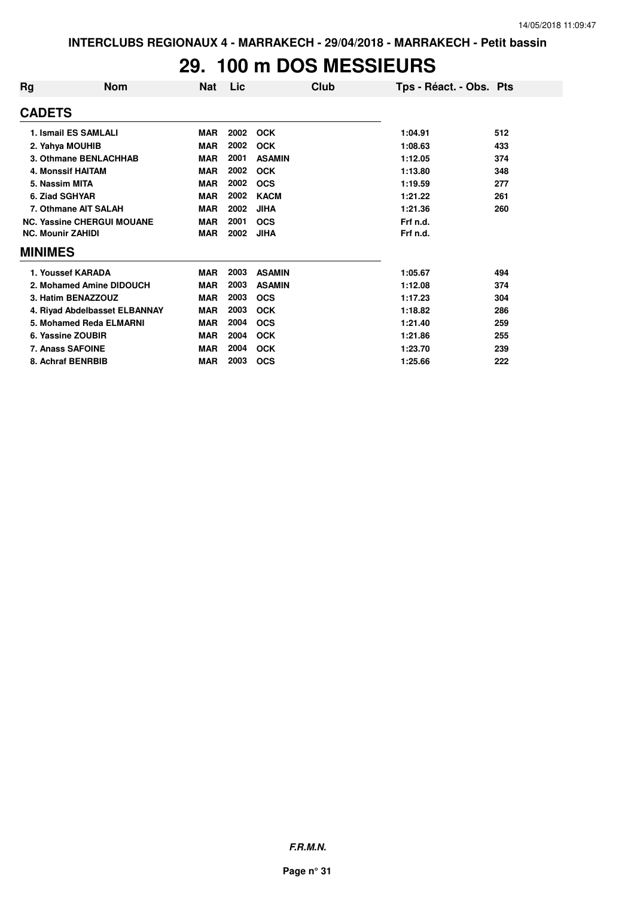#### **29. 100 m DOS MESSIEURS**

| Rg                       | <b>Nom</b>                        | Nat        | Lic  | Club          | Tps - Réact. - Obs. Pts |     |
|--------------------------|-----------------------------------|------------|------|---------------|-------------------------|-----|
| <b>CADETS</b>            |                                   |            |      |               |                         |     |
|                          | 1. Ismail ES SAMLALI              | <b>MAR</b> | 2002 | <b>OCK</b>    | 1:04.91                 | 512 |
|                          | 2. Yahya MOUHIB                   | <b>MAR</b> | 2002 | <b>OCK</b>    | 1:08.63                 | 433 |
|                          | 3. Othmane BENLACHHAB             | <b>MAR</b> | 2001 | <b>ASAMIN</b> | 1:12.05                 | 374 |
|                          | <b>4. Monssif HAITAM</b>          | <b>MAR</b> | 2002 | <b>OCK</b>    | 1:13.80                 | 348 |
| 5. Nassim MITA           |                                   | <b>MAR</b> | 2002 | <b>OCS</b>    | 1:19.59                 | 277 |
| 6. Ziad SGHYAR           |                                   | <b>MAR</b> | 2002 | <b>KACM</b>   | 1:21.22                 | 261 |
|                          | 7. Othmane AIT SALAH              | <b>MAR</b> | 2002 | <b>JIHA</b>   | 1:21.36                 | 260 |
|                          | <b>NC. Yassine CHERGUI MOUANE</b> | <b>MAR</b> | 2001 | <b>OCS</b>    | Frf n.d.                |     |
| <b>NC. Mounir ZAHIDI</b> |                                   | <b>MAR</b> | 2002 | <b>JIHA</b>   | Frf n.d.                |     |
| <b>MINIMES</b>           |                                   |            |      |               |                         |     |
|                          | 1. Youssef KARADA                 | <b>MAR</b> | 2003 | <b>ASAMIN</b> | 1:05.67                 | 494 |
|                          | 2. Mohamed Amine DIDOUCH          | <b>MAR</b> | 2003 | <b>ASAMIN</b> | 1:12.08                 | 374 |
|                          | 3. Hatim BENAZZOUZ                | <b>MAR</b> | 2003 | <b>OCS</b>    | 1:17.23                 | 304 |
|                          | 4. Riyad Abdelbasset ELBANNAY     | <b>MAR</b> | 2003 | <b>OCK</b>    | 1:18.82                 | 286 |
|                          | 5. Mohamed Reda ELMARNI           | <b>MAR</b> | 2004 | <b>OCS</b>    | 1:21.40                 | 259 |
|                          | 6. Yassine ZOUBIR                 | <b>MAR</b> | 2004 | <b>OCK</b>    | 1:21.86                 | 255 |
|                          | <b>7. Anass SAFOINE</b>           | <b>MAR</b> | 2004 | <b>OCK</b>    | 1:23.70                 | 239 |
|                          | 8. Achraf BENRBIB                 | <b>MAR</b> | 2003 | <b>OCS</b>    | 1:25.66                 | 222 |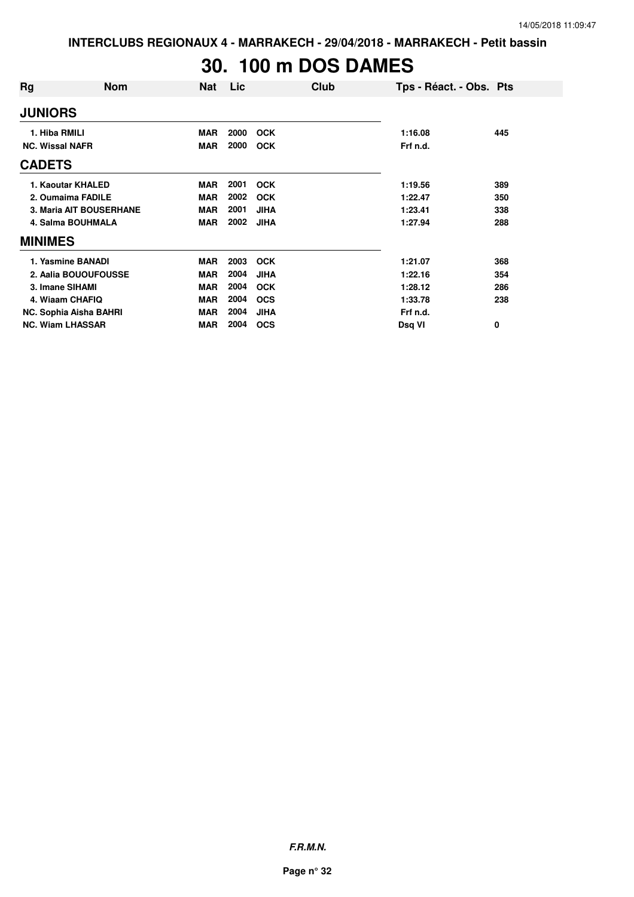# **30. 100 m DOS DAMES**

| Rg                      | <b>Nom</b>              | <b>Nat</b> | Lic  | Club        | Tps - Réact. - Obs. Pts |     |
|-------------------------|-------------------------|------------|------|-------------|-------------------------|-----|
| <b>JUNIORS</b>          |                         |            |      |             |                         |     |
| 1. Hiba RMILI           |                         | <b>MAR</b> | 2000 | <b>OCK</b>  | 1:16.08                 | 445 |
| <b>NC. Wissal NAFR</b>  |                         | <b>MAR</b> | 2000 | <b>OCK</b>  | Frf n.d.                |     |
| <b>CADETS</b>           |                         |            |      |             |                         |     |
|                         | 1. Kaoutar KHALED       | <b>MAR</b> | 2001 | <b>OCK</b>  | 1:19.56                 | 389 |
|                         | 2. Oumaima FADILE       | <b>MAR</b> | 2002 | <b>OCK</b>  | 1:22.47                 | 350 |
|                         | 3. Maria AIT BOUSERHANE | <b>MAR</b> | 2001 | <b>JIHA</b> | 1:23.41                 | 338 |
|                         | 4. Salma BOUHMALA       | <b>MAR</b> | 2002 | <b>JIHA</b> | 1:27.94                 | 288 |
| <b>MINIMES</b>          |                         |            |      |             |                         |     |
|                         | 1. Yasmine BANADI       | MAR        | 2003 | <b>OCK</b>  | 1:21.07                 | 368 |
|                         | 2. Aalia BOUOUFOUSSE    | <b>MAR</b> | 2004 | <b>JIHA</b> | 1:22.16                 | 354 |
| 3. Imane SIHAMI         |                         | <b>MAR</b> | 2004 | <b>OCK</b>  | 1:28.12                 | 286 |
|                         | 4. Wiaam CHAFIQ         | <b>MAR</b> | 2004 | <b>OCS</b>  | 1:33.78                 | 238 |
|                         | NC. Sophia Aisha BAHRI  | <b>MAR</b> | 2004 | <b>JIHA</b> | Frf n.d.                |     |
| <b>NC. Wiam LHASSAR</b> |                         | <b>MAR</b> | 2004 | <b>OCS</b>  | Dsq VI                  | 0   |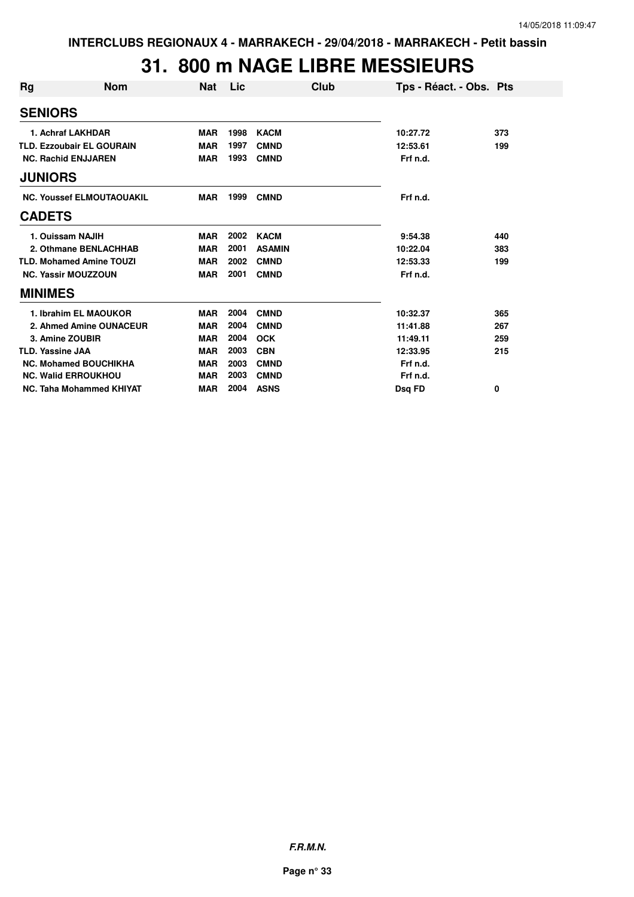#### **31. 800 m NAGE LIBRE MESSIEURS**

| Rg                      | <b>Nom</b>                       | <b>Nat</b> | Lic  | Club          | Tps - Réact. - Obs. Pts |     |
|-------------------------|----------------------------------|------------|------|---------------|-------------------------|-----|
| <b>SENIORS</b>          |                                  |            |      |               |                         |     |
|                         | 1. Achraf LAKHDAR                | <b>MAR</b> | 1998 | <b>KACM</b>   | 10:27.72                | 373 |
|                         | <b>TLD. Ezzoubair EL GOURAIN</b> | <b>MAR</b> | 1997 | <b>CMND</b>   | 12:53.61                | 199 |
|                         | <b>NC. Rachid ENJJAREN</b>       | <b>MAR</b> | 1993 | <b>CMND</b>   | Frf n.d.                |     |
| <b>JUNIORS</b>          |                                  |            |      |               |                         |     |
|                         | <b>NC. Youssef ELMOUTAOUAKIL</b> | <b>MAR</b> | 1999 | <b>CMND</b>   | Frf n.d.                |     |
| <b>CADETS</b>           |                                  |            |      |               |                         |     |
|                         | 1. Ouissam NAJIH                 | <b>MAR</b> | 2002 | <b>KACM</b>   | 9:54.38                 | 440 |
|                         | 2. Othmane BENLACHHAB            | <b>MAR</b> | 2001 | <b>ASAMIN</b> | 10:22.04                | 383 |
|                         | <b>TLD. Mohamed Amine TOUZI</b>  | <b>MAR</b> | 2002 | <b>CMND</b>   | 12:53.33                | 199 |
|                         | <b>NC. Yassir MOUZZOUN</b>       | <b>MAR</b> | 2001 | <b>CMND</b>   | Frf n.d.                |     |
| <b>MINIMES</b>          |                                  |            |      |               |                         |     |
|                         | 1. Ibrahim EL MAOUKOR            | <b>MAR</b> | 2004 | <b>CMND</b>   | 10:32.37                | 365 |
|                         | 2. Ahmed Amine OUNACEUR          | <b>MAR</b> | 2004 | <b>CMND</b>   | 11:41.88                | 267 |
|                         | 3. Amine ZOUBIR                  | <b>MAR</b> | 2004 | <b>OCK</b>    | 11:49.11                | 259 |
| <b>TLD. Yassine JAA</b> |                                  | <b>MAR</b> | 2003 | <b>CBN</b>    | 12:33.95                | 215 |
|                         | <b>NC. Mohamed BOUCHIKHA</b>     | <b>MAR</b> | 2003 | <b>CMND</b>   | Frf n.d.                |     |
|                         | <b>NC. Walid ERROUKHOU</b>       | <b>MAR</b> | 2003 | <b>CMND</b>   | Frf n.d.                |     |
|                         | NC. Taha Mohammed KHIYAT         | <b>MAR</b> | 2004 | <b>ASNS</b>   | Dsq FD                  | 0   |